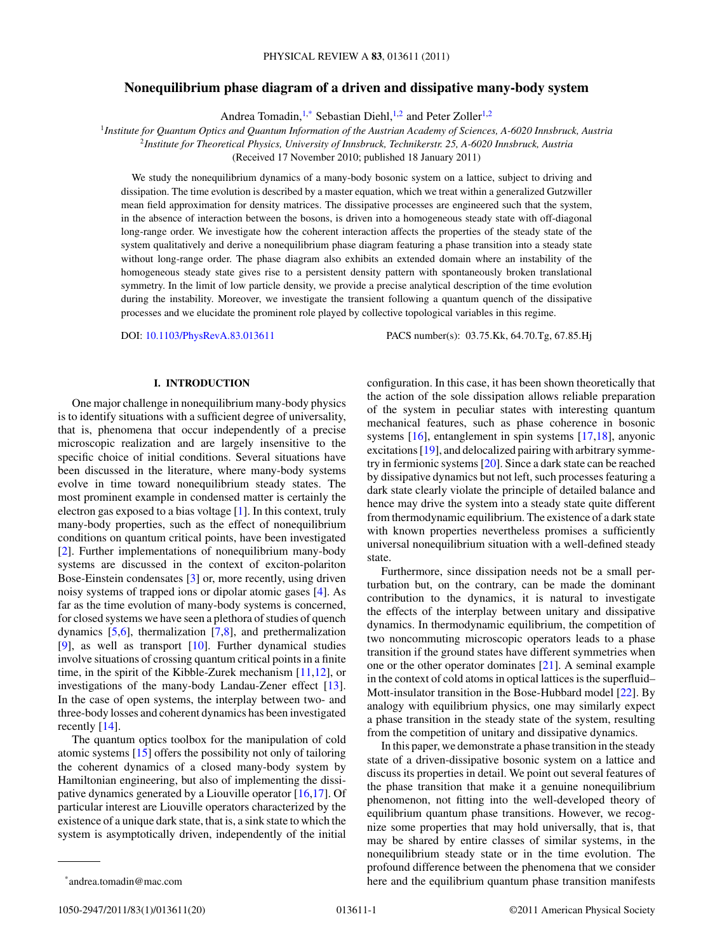## **Nonequilibrium phase diagram of a driven and dissipative many-body system**

Andrea Tomadin, $1^*$  Sebastian Diehl, $1^2$  and Peter Zoller<sup>1,2</sup>

<sup>1</sup>*Institute for Quantum Optics and Quantum Information of the Austrian Academy of Sciences, A-6020 Innsbruck, Austria*

<sup>2</sup>*Institute for Theoretical Physics, University of Innsbruck, Technikerstr. 25, A-6020 Innsbruck, Austria*

(Received 17 November 2010; published 18 January 2011)

We study the nonequilibrium dynamics of a many-body bosonic system on a lattice, subject to driving and dissipation. The time evolution is described by a master equation, which we treat within a generalized Gutzwiller mean field approximation for density matrices. The dissipative processes are engineered such that the system, in the absence of interaction between the bosons, is driven into a homogeneous steady state with off-diagonal long-range order. We investigate how the coherent interaction affects the properties of the steady state of the system qualitatively and derive a nonequilibrium phase diagram featuring a phase transition into a steady state without long-range order. The phase diagram also exhibits an extended domain where an instability of the homogeneous steady state gives rise to a persistent density pattern with spontaneously broken translational symmetry. In the limit of low particle density, we provide a precise analytical description of the time evolution during the instability. Moreover, we investigate the transient following a quantum quench of the dissipative processes and we elucidate the prominent role played by collective topological variables in this regime.

DOI: [10.1103/PhysRevA.83.013611](http://dx.doi.org/10.1103/PhysRevA.83.013611) PACS number(s): 03*.*75*.*Kk, 64*.*70*.*Tg, 67*.*85*.*Hj

### **I. INTRODUCTION**

One major challenge in nonequilibrium many-body physics is to identify situations with a sufficient degree of universality, that is, phenomena that occur independently of a precise microscopic realization and are largely insensitive to the specific choice of initial conditions. Several situations have been discussed in the literature, where many-body systems evolve in time toward nonequilibrium steady states. The most prominent example in condensed matter is certainly the electron gas exposed to a bias voltage [\[1\]](#page-18-0). In this context, truly many-body properties, such as the effect of nonequilibrium conditions on quantum critical points, have been investigated [\[2\]](#page-18-0). Further implementations of nonequilibrium many-body systems are discussed in the context of exciton-polariton Bose-Einstein condensates [\[3\]](#page-18-0) or, more recently, using driven noisy systems of trapped ions or dipolar atomic gases [\[4\]](#page-18-0). As far as the time evolution of many-body systems is concerned, for closed systems we have seen a plethora of studies of quench dynamics [\[5,6\]](#page-18-0), thermalization [\[7,8\]](#page-18-0), and prethermalization [\[9\]](#page-18-0), as well as transport [\[10\]](#page-18-0). Further dynamical studies involve situations of crossing quantum critical points in a finite time, in the spirit of the Kibble-Zurek mechanism [\[11,12\]](#page-19-0), or investigations of the many-body Landau-Zener effect [\[13\]](#page-19-0). In the case of open systems, the interplay between two- and three-body losses and coherent dynamics has been investigated recently [\[14\]](#page-19-0).

The quantum optics toolbox for the manipulation of cold atomic systems [\[15\]](#page-19-0) offers the possibility not only of tailoring the coherent dynamics of a closed many-body system by Hamiltonian engineering, but also of implementing the dissipative dynamics generated by a Liouville operator [\[16,17\]](#page-19-0). Of particular interest are Liouville operators characterized by the existence of a unique dark state, that is, a sink state to which the system is asymptotically driven, independently of the initial

configuration. In this case, it has been shown theoretically that the action of the sole dissipation allows reliable preparation of the system in peculiar states with interesting quantum mechanical features, such as phase coherence in bosonic systems [\[16\]](#page-19-0), entanglement in spin systems [\[17,18\]](#page-19-0), anyonic excitations [\[19\]](#page-19-0), and delocalized pairing with arbitrary symmetry in fermionic systems [\[20\]](#page-19-0). Since a dark state can be reached by dissipative dynamics but not left, such processes featuring a dark state clearly violate the principle of detailed balance and hence may drive the system into a steady state quite different from thermodynamic equilibrium. The existence of a dark state with known properties nevertheless promises a sufficiently universal nonequilibrium situation with a well-defined steady state.

Furthermore, since dissipation needs not be a small perturbation but, on the contrary, can be made the dominant contribution to the dynamics, it is natural to investigate the effects of the interplay between unitary and dissipative dynamics. In thermodynamic equilibrium, the competition of two noncommuting microscopic operators leads to a phase transition if the ground states have different symmetries when one or the other operator dominates [\[21\]](#page-19-0). A seminal example in the context of cold atoms in optical lattices is the superfluid– Mott-insulator transition in the Bose-Hubbard model [\[22\]](#page-19-0). By analogy with equilibrium physics, one may similarly expect a phase transition in the steady state of the system, resulting from the competition of unitary and dissipative dynamics.

In this paper, we demonstrate a phase transition in the steady state of a driven-dissipative bosonic system on a lattice and discuss its properties in detail. We point out several features of the phase transition that make it a genuine nonequilibrium phenomenon, not fitting into the well-developed theory of equilibrium quantum phase transitions. However, we recognize some properties that may hold universally, that is, that may be shared by entire classes of similar systems, in the nonequilibrium steady state or in the time evolution. The profound difference between the phenomena that we consider here and the equilibrium quantum phase transition manifests

<sup>\*</sup>andrea.tomadin@mac.com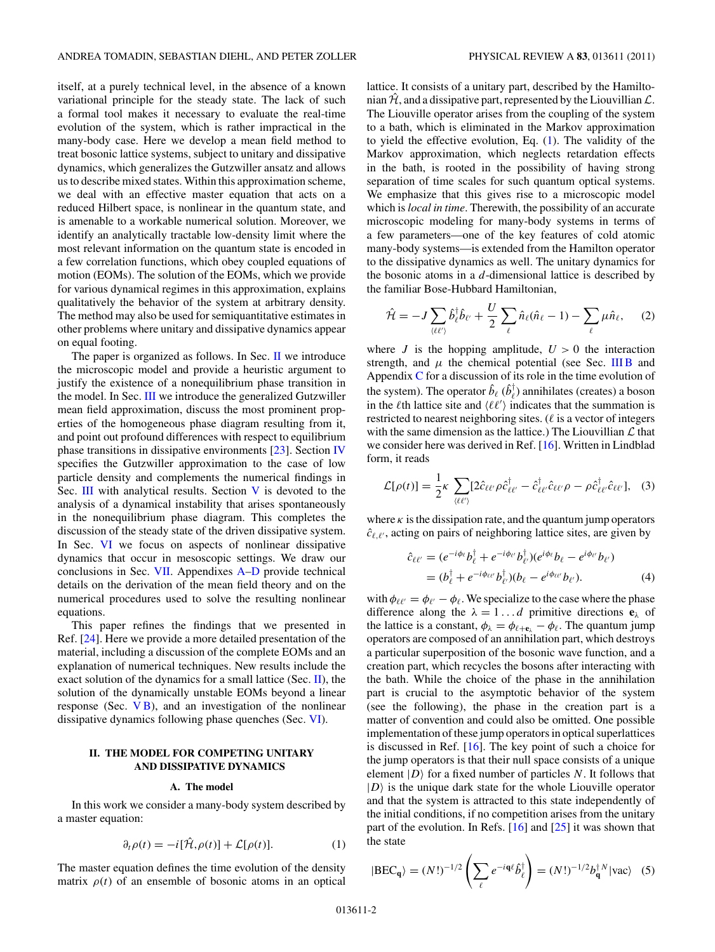<span id="page-1-0"></span>itself, at a purely technical level, in the absence of a known variational principle for the steady state. The lack of such a formal tool makes it necessary to evaluate the real-time evolution of the system, which is rather impractical in the many-body case. Here we develop a mean field method to treat bosonic lattice systems, subject to unitary and dissipative dynamics, which generalizes the Gutzwiller ansatz and allows us to describe mixed states. Within this approximation scheme, we deal with an effective master equation that acts on a reduced Hilbert space, is nonlinear in the quantum state, and is amenable to a workable numerical solution. Moreover, we identify an analytically tractable low-density limit where the most relevant information on the quantum state is encoded in a few correlation functions, which obey coupled equations of motion (EOMs). The solution of the EOMs, which we provide for various dynamical regimes in this approximation, explains qualitatively the behavior of the system at arbitrary density. The method may also be used for semiquantitative estimates in other problems where unitary and dissipative dynamics appear on equal footing.

The paper is organized as follows. In Sec. II we introduce the microscopic model and provide a heuristic argument to justify the existence of a nonequilibrium phase transition in the model. In Sec. [III](#page-3-0) we introduce the generalized Gutzwiller mean field approximation, discuss the most prominent properties of the homogeneous phase diagram resulting from it, and point out profound differences with respect to equilibrium phase transitions in dissipative environments [\[23\]](#page-19-0). Section [IV](#page-8-0) specifies the Gutzwiller approximation to the case of low particle density and complements the numerical findings in Sec. [III](#page-3-0) with analytical results. Section  $V$  is devoted to the analysis of a dynamical instability that arises spontaneously in the nonequilibrium phase diagram. This completes the discussion of the steady state of the driven dissipative system. In Sec. [VI](#page-12-0) we focus on aspects of nonlinear dissipative dynamics that occur in mesoscopic settings. We draw our conclusions in Sec. [VII.](#page-14-0) Appendixes [A–](#page-15-0)[D](#page-17-0) provide technical details on the derivation of the mean field theory and on the numerical procedures used to solve the resulting nonlinear equations.

This paper refines the findings that we presented in Ref. [\[24\]](#page-19-0). Here we provide a more detailed presentation of the material, including a discussion of the complete EOMs and an explanation of numerical techniques. New results include the exact solution of the dynamics for a small lattice (Sec.  $\Pi$ ), the solution of the dynamically unstable EOMs beyond a linear response (Sec.  $VB$ ), and an investigation of the nonlinear dissipative dynamics following phase quenches (Sec. [VI\)](#page-12-0).

## **II. THE MODEL FOR COMPETING UNITARY AND DISSIPATIVE DYNAMICS**

#### **A. The model**

In this work we consider a many-body system described by a master equation:

$$
\partial_t \rho(t) = -i[\hat{\mathcal{H}}, \rho(t)] + \mathcal{L}[\rho(t)]. \tag{1}
$$

The master equation defines the time evolution of the density matrix  $\rho(t)$  of an ensemble of bosonic atoms in an optical lattice. It consists of a unitary part, described by the Hamiltonian  $\hat{\mathcal{H}}$ , and a dissipative part, represented by the Liouvillian  $\mathcal{L}$ . The Liouville operator arises from the coupling of the system to a bath, which is eliminated in the Markov approximation to yield the effective evolution, Eq. (1). The validity of the Markov approximation, which neglects retardation effects in the bath, is rooted in the possibility of having strong separation of time scales for such quantum optical systems. We emphasize that this gives rise to a microscopic model which is*local in time*. Therewith, the possibility of an accurate microscopic modeling for many-body systems in terms of a few parameters—one of the key features of cold atomic many-body systems—is extended from the Hamilton operator to the dissipative dynamics as well. The unitary dynamics for the bosonic atoms in a *d*-dimensional lattice is described by the familiar Bose-Hubbard Hamiltonian,

$$
\hat{\mathcal{H}} = -J \sum_{\langle \ell \ell' \rangle} \hat{b}_{\ell}^{\dagger} \hat{b}_{\ell'} + \frac{U}{2} \sum_{\ell} \hat{n}_{\ell} (\hat{n}_{\ell} - 1) - \sum_{\ell} \mu \hat{n}_{\ell}, \quad (2)
$$

where *J* is the hopping amplitude,  $U > 0$  the interaction strength, and  $\mu$  the chemical potential (see Sec. [III B](#page-7-0) and Appendix  $C$  for a discussion of its role in the time evolution of the system). The operator  $\hat{b}_{\ell}$  ( $\hat{b}_{\ell}^{\dagger}$ ) annihilates (creates) a boson in the  $\ell$ th lattice site and  $\langle \ell \ell' \rangle$  indicates that the summation is restricted to nearest neighboring sites. ( $\ell$  is a vector of integers with the same dimension as the lattice.) The Liouvillian  $\mathcal L$  that we consider here was derived in Ref. [\[16\]](#page-19-0). Written in Lindblad form, it reads

$$
\mathcal{L}[\rho(t)] = \frac{1}{2}\kappa \sum_{\langle \ell \ell' \rangle} [2\hat{c}_{\ell \ell'} \rho \hat{c}_{\ell \ell'}^{\dagger} - \hat{c}_{\ell \ell'}^{\dagger} \hat{c}_{\ell \ell'} \rho - \rho \hat{c}_{\ell \ell'}^{\dagger} \hat{c}_{\ell \ell'}], \quad (3)
$$

where  $\kappa$  is the dissipation rate, and the quantum jump operators  $\hat{c}_{\ell,\ell'}$ , acting on pairs of neighboring lattice sites, are given by

$$
\hat{c}_{\ell\ell'} = (e^{-i\phi_{\ell}}b_{\ell}^{\dagger} + e^{-i\phi_{\ell'}}b_{\ell'}^{\dagger})(e^{i\phi_{\ell}}b_{\ell} - e^{i\phi_{\ell'}}b_{\ell'})
$$
\n
$$
= (b_{\ell}^{\dagger} + e^{-i\phi_{\ell\ell'}}b_{\ell'}^{\dagger})(b_{\ell} - e^{i\phi_{\ell\ell'}}b_{\ell'}).
$$
\n(4)

with  $\phi_{\ell\ell'} = \phi_{\ell'} - \phi_{\ell}$ . We specialize to the case where the phase difference along the  $\lambda = 1 \dots d$  primitive directions  $\mathbf{e}_{\lambda}$  of the lattice is a constant,  $\phi_{\lambda} = \phi_{\ell + \mathbf{e}_{\lambda}} - \phi_{\ell}$ . The quantum jump operators are composed of an annihilation part, which destroys a particular superposition of the bosonic wave function, and a creation part, which recycles the bosons after interacting with the bath. While the choice of the phase in the annihilation part is crucial to the asymptotic behavior of the system (see the following), the phase in the creation part is a matter of convention and could also be omitted. One possible implementation of these jump operators in optical superlattices is discussed in Ref. [\[16\]](#page-19-0). The key point of such a choice for the jump operators is that their null space consists of a unique element  $|D\rangle$  for a fixed number of particles N. It follows that  $|D\rangle$  is the unique dark state for the whole Liouville operator and that the system is attracted to this state independently of the initial conditions, if no competition arises from the unitary part of the evolution. In Refs.  $[16]$  and  $[25]$  it was shown that the state

$$
|\text{BEC}_{\mathbf{q}}\rangle = (N!)^{-1/2} \left(\sum_{\ell} e^{-i\mathbf{q}\ell} \hat{b}_{\ell}^{\dagger}\right) = (N!)^{-1/2} b_{\mathbf{q}}^{\dagger N} |\text{vac}\rangle \quad (5)
$$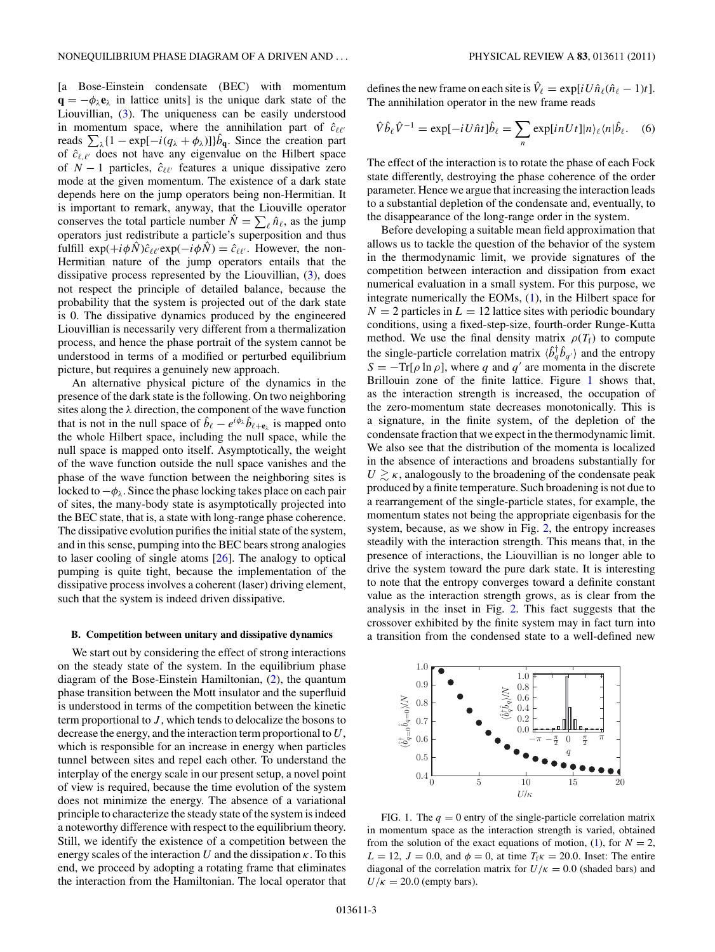<span id="page-2-0"></span>[a Bose-Einstein condensate (BEC) with momentum  $\mathbf{q} = -\phi_{\lambda} \mathbf{e}_{\lambda}$  in lattice units] is the unique dark state of the Liouvillian, [\(3\)](#page-1-0). The uniqueness can be easily understood in momentum space, where the annihilation part of  $\hat{c}_{\ell\ell'}$ reads  $\sum_{\lambda} \{1 - \exp[-i(q_{\lambda} + \phi_{\lambda})]\}\hat{b}_{\mathbf{q}}\}$ . Since the creation part of  $\hat{c}_{\ell,\ell'}$  does not have any eigenvalue on the Hilbert space of *N* − 1 particles,  $\hat{c}_{\ell\ell'}$  features a unique dissipative zero mode at the given momentum. The existence of a dark state depends here on the jump operators being non-Hermitian. It is important to remark, anyway, that the Liouville operator conserves the total particle number  $\hat{N} = \sum_{\ell} \hat{n}_{\ell}$ , as the jump operators just redistribute a particle's superposition and thus fulfill  $\exp(+i\phi\hat{N})\hat{c}_{\ell\ell'}\exp(-i\phi\hat{N}) = \hat{c}_{\ell\ell'}$ . However, the non-Hermitian nature of the jump operators entails that the dissipative process represented by the Liouvillian, [\(3\)](#page-1-0), does not respect the principle of detailed balance, because the probability that the system is projected out of the dark state is 0. The dissipative dynamics produced by the engineered Liouvillian is necessarily very different from a thermalization process, and hence the phase portrait of the system cannot be understood in terms of a modified or perturbed equilibrium picture, but requires a genuinely new approach.

An alternative physical picture of the dynamics in the presence of the dark state is the following. On two neighboring sites along the *λ* direction, the component of the wave function that is not in the null space of  $\hat{b}_{\ell} - e^{i\phi_{\lambda}} \hat{b}_{\ell + \mathbf{e}_{\lambda}}$  is mapped onto the whole Hilbert space, including the null space, while the null space is mapped onto itself. Asymptotically, the weight of the wave function outside the null space vanishes and the phase of the wave function between the neighboring sites is locked to  $-\phi_{\lambda}$ . Since the phase locking takes place on each pair of sites, the many-body state is asymptotically projected into the BEC state, that is, a state with long-range phase coherence. The dissipative evolution purifies the initial state of the system, and in this sense, pumping into the BEC bears strong analogies to laser cooling of single atoms [\[26\]](#page-19-0). The analogy to optical pumping is quite tight, because the implementation of the dissipative process involves a coherent (laser) driving element, such that the system is indeed driven dissipative.

# **B. Competition between unitary and dissipative dynamics**

We start out by considering the effect of strong interactions on the steady state of the system. In the equilibrium phase diagram of the Bose-Einstein Hamiltonian, [\(2\)](#page-1-0), the quantum phase transition between the Mott insulator and the superfluid is understood in terms of the competition between the kinetic term proportional to *J* , which tends to delocalize the bosons to decrease the energy, and the interaction term proportional to *U*, which is responsible for an increase in energy when particles tunnel between sites and repel each other. To understand the interplay of the energy scale in our present setup, a novel point of view is required, because the time evolution of the system does not minimize the energy. The absence of a variational principle to characterize the steady state of the system is indeed a noteworthy difference with respect to the equilibrium theory. Still, we identify the existence of a competition between the energy scales of the interaction *U* and the dissipation *κ*. To this end, we proceed by adopting a rotating frame that eliminates the interaction from the Hamiltonian. The local operator that

defines the new frame on each site is  $\hat{V}_{\ell} = \exp[i U \hat{n}_{\ell} (\hat{n}_{\ell} - 1)t]$ . The annihilation operator in the new frame reads

$$
\hat{V}\hat{b}_{\ell}\hat{V}^{-1} = \exp[-iU\hat{n}t]\hat{b}_{\ell} = \sum_{n} \exp[i nUt] |n\rangle_{\ell} \langle n|\hat{b}_{\ell}.
$$
 (6)

The effect of the interaction is to rotate the phase of each Fock state differently, destroying the phase coherence of the order parameter. Hence we argue that increasing the interaction leads to a substantial depletion of the condensate and, eventually, to the disappearance of the long-range order in the system.

Before developing a suitable mean field approximation that allows us to tackle the question of the behavior of the system in the thermodynamic limit, we provide signatures of the competition between interaction and dissipation from exact numerical evaluation in a small system. For this purpose, we integrate numerically the EOMs, [\(1\)](#page-1-0), in the Hilbert space for  $N = 2$  particles in  $L = 12$  lattice sites with periodic boundary conditions, using a fixed-step-size, fourth-order Runge-Kutta method. We use the final density matrix  $\rho(T_f)$  to compute the single-particle correlation matrix  $\langle \hat{b}_q^{\dagger} \hat{b}_{q'} \rangle$  and the entropy  $S = -\text{Tr}[\rho \ln \rho]$ , where *q* and *q*<sup>'</sup> are momenta in the discrete Brillouin zone of the finite lattice. Figure 1 shows that, as the interaction strength is increased, the occupation of the zero-momentum state decreases monotonically. This is a signature, in the finite system, of the depletion of the condensate fraction that we expect in the thermodynamic limit. We also see that the distribution of the momenta is localized in the absence of interactions and broadens substantially for  $U \gtrsim \kappa$ , analogously to the broadening of the condensate peak produced by a finite temperature. Such broadening is not due to a rearrangement of the single-particle states, for example, the momentum states not being the appropriate eigenbasis for the system, because, as we show in Fig. [2,](#page-3-0) the entropy increases steadily with the interaction strength. This means that, in the presence of interactions, the Liouvillian is no longer able to drive the system toward the pure dark state. It is interesting to note that the entropy converges toward a definite constant value as the interaction strength grows, as is clear from the analysis in the inset in Fig. [2.](#page-3-0) This fact suggests that the crossover exhibited by the finite system may in fact turn into a transition from the condensed state to a well-defined new



FIG. 1. The  $q = 0$  entry of the single-particle correlation matrix in momentum space as the interaction strength is varied, obtained from the solution of the exact equations of motion, [\(1\)](#page-1-0), for  $N = 2$ ,  $L = 12$ ,  $J = 0.0$ , and  $\phi = 0$ , at time  $T_f \kappa = 20.0$ . Inset: The entire diagonal of the correlation matrix for  $U/\kappa = 0.0$  (shaded bars) and  $U/\kappa = 20.0$  (empty bars).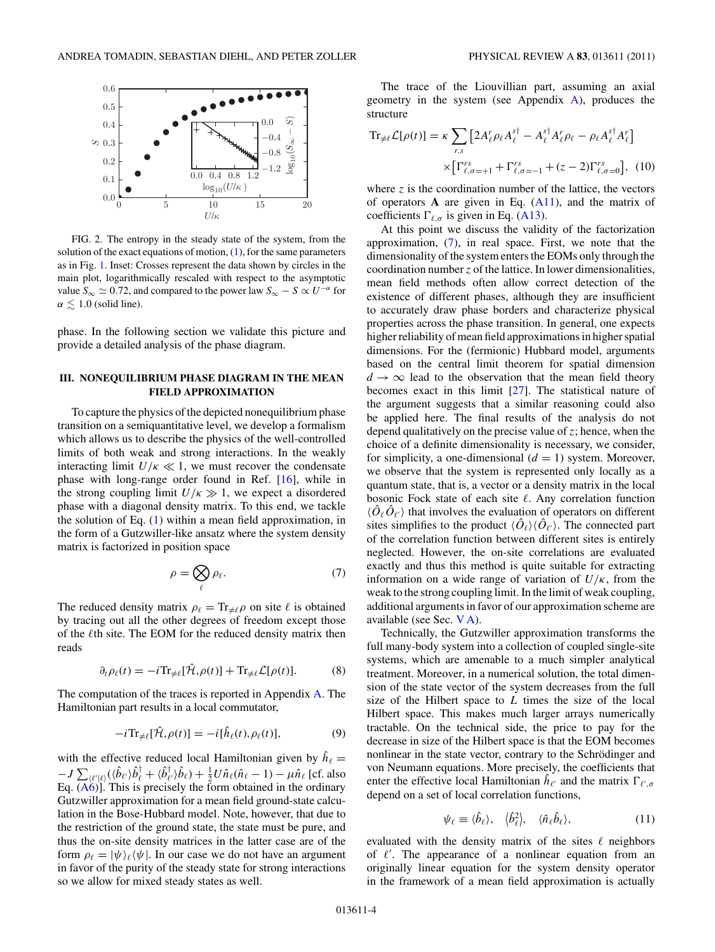<span id="page-3-0"></span>

FIG. 2. The entropy in the steady state of the system, from the solution of the exact equations of motion,  $(1)$ , for the same parameters as in Fig. [1.](#page-2-0) Inset: Crosses represent the data shown by circles in the main plot, logarithmically rescaled with respect to the asymptotic value *S*<sub>∞</sub>  $\approx$  0.72, and compared to the power law *S*<sub>∞</sub> − *S* ∝ *U*<sup>−*α*</sup> for  $\alpha \lesssim 1.0$  (solid line).

phase. In the following section we validate this picture and provide a detailed analysis of the phase diagram.

# **III. NONEQUILIBRIUM PHASE DIAGRAM IN THE MEAN FIELD APPROXIMATION**

To capture the physics of the depicted nonequilibrium phase transition on a semiquantitative level, we develop a formalism which allows us to describe the physics of the well-controlled limits of both weak and strong interactions. In the weakly interacting limit  $U/\kappa \ll 1$ , we must recover the condensate phase with long-range order found in Ref. [\[16\]](#page-19-0), while in the strong coupling limit  $U/\kappa \gg 1$ , we expect a disordered phase with a diagonal density matrix. To this end, we tackle the solution of Eq. [\(1\)](#page-1-0) within a mean field approximation, in the form of a Gutzwiller-like ansatz where the system density matrix is factorized in position space

$$
\rho = \bigotimes_{\ell} \rho_{\ell}.\tag{7}
$$

The reduced density matrix  $\rho_{\ell} = \text{Tr}_{\neq \ell} \rho$  on site  $\ell$  is obtained by tracing out all the other degrees of freedom except those of the  $\ell$ th site. The EOM for the reduced density matrix then reads

$$
\partial_t \rho_\ell(t) = -i \operatorname{Tr}_{\neq \ell} [\hat{\mathcal{H}}, \rho(t)] + \operatorname{Tr}_{\neq \ell} \mathcal{L}[\rho(t)]. \tag{8}
$$

The computation of the traces is reported in Appendix [A.](#page-15-0) The Hamiltonian part results in a local commutator,

$$
-i\operatorname{Tr}_{\neq\ell}[\hat{\mathcal{H}},\rho(t)]=-i[\hat{h}_{\ell}(t),\rho_{\ell}(t)],\qquad(9)
$$

with the effective reduced local Hamiltonian given by  $h_{\ell} =$  $-J \sum_{\langle \ell' | \ell \rangle} (\langle \hat{b}_{\ell'} \rangle \hat{b}_{\ell}^{\dagger} + \langle \hat{b}_{\ell'}^{\dagger} \rangle \hat{b}_{\ell}) + \frac{1}{2} U \hat{n}_{\ell} (\hat{n}_{\ell} - 1) - \mu \hat{n}_{\ell}$  [cf. also Eq.  $\overline{(A6)}$  $\overline{(A6)}$  $\overline{(A6)}$ . This is precisely the form obtained in the ordinary Gutzwiller approximation for a mean field ground-state calculation in the Bose-Hubbard model. Note, however, that due to the restriction of the ground state, the state must be pure, and thus the on-site density matrices in the latter case are of the form  $\rho_{\ell} = |\psi\rangle_{\ell} \langle \psi|$ . In our case we do not have an argument in favor of the purity of the steady state for strong interactions so we allow for mixed steady states as well.

The trace of the Liouvillian part, assuming an axial geometry in the system (see Appendix [A\)](#page-15-0), produces the structure

$$
\mathrm{Tr}_{\neq \ell} \mathcal{L}[\rho(t)] = \kappa \sum_{r,s} \left[ 2A_{\ell}^r \rho_{\ell} A_{\ell}^{s\dagger} - A_{\ell}^{s\dagger} A_{\ell}^r \rho_{\ell} - \rho_{\ell} A_{\ell}^{s\dagger} A_{\ell}^r \right] \times \left[ \Gamma_{\ell,\sigma=+1}^{rs} + \Gamma_{\ell,\sigma=-1}^{rs} + (z-2)\Gamma_{\ell,\sigma=0}^{rs} \right], \tag{10}
$$

where  $z$  is the coordination number of the lattice, the vectors of operators  $\bf{A}$  are given in Eq.  $(A11)$ , and the matrix of coefficients  $\Gamma_{\ell,\sigma}$  is given in Eq. [\(A13\)](#page-16-0).

At this point we discuss the validity of the factorization approximation, (7), in real space. First, we note that the dimensionality of the system enters the EOMs only through the coordination number *z* of the lattice. In lower dimensionalities, mean field methods often allow correct detection of the existence of different phases, although they are insufficient to accurately draw phase borders and characterize physical properties across the phase transition. In general, one expects higher reliability of mean field approximations in higher spatial dimensions. For the (fermionic) Hubbard model, arguments based on the central limit theorem for spatial dimension  $d \rightarrow \infty$  lead to the observation that the mean field theory becomes exact in this limit [\[27\]](#page-19-0). The statistical nature of the argument suggests that a similar reasoning could also be applied here. The final results of the analysis do not depend qualitatively on the precise value of *z*; hence, when the choice of a definite dimensionality is necessary, we consider, for simplicity, a one-dimensional  $(d = 1)$  system. Moreover, we observe that the system is represented only locally as a quantum state, that is, a vector or a density matrix in the local bosonic Fock state of each site  $\ell$ . Any correlation function  $\langle \hat{O}_\ell \hat{O}_{\ell'} \rangle$  that involves the evaluation of operators on different sites simplifies to the product  $\langle \hat{O}_\ell \rangle \langle \hat{O}_{\ell'} \rangle$ . The connected part of the correlation function between different sites is entirely neglected. However, the on-site correlations are evaluated exactly and thus this method is quite suitable for extracting information on a wide range of variation of  $U/\kappa$ , from the weak to the strong coupling limit. In the limit of weak coupling, additional arguments in favor of our approximation scheme are available (see Sec. [V A\)](#page-9-0).

Technically, the Gutzwiller approximation transforms the full many-body system into a collection of coupled single-site systems, which are amenable to a much simpler analytical treatment. Moreover, in a numerical solution, the total dimension of the state vector of the system decreases from the full size of the Hilbert space to *L* times the size of the local Hilbert space. This makes much larger arrays numerically tractable. On the technical side, the price to pay for the decrease in size of the Hilbert space is that the EOM becomes nonlinear in the state vector, contrary to the Schrödinger and von Neumann equations. More precisely, the coefficients that enter the effective local Hamiltonian  $\hat{h}_{\ell'}$  and the matrix  $\Gamma_{\ell',\sigma}$ depend on a set of local correlation functions,

$$
\psi_{\ell} \equiv \langle \hat{b}_{\ell} \rangle, \quad \langle \hat{b}_{\ell}^{2} \rangle, \quad \langle \hat{n}_{\ell} \hat{b}_{\ell} \rangle, \tag{11}
$$

evaluated with the density matrix of the sites  $\ell$  neighbors of  $\ell'$ . The appearance of a nonlinear equation from an originally linear equation for the system density operator in the framework of a mean field approximation is actually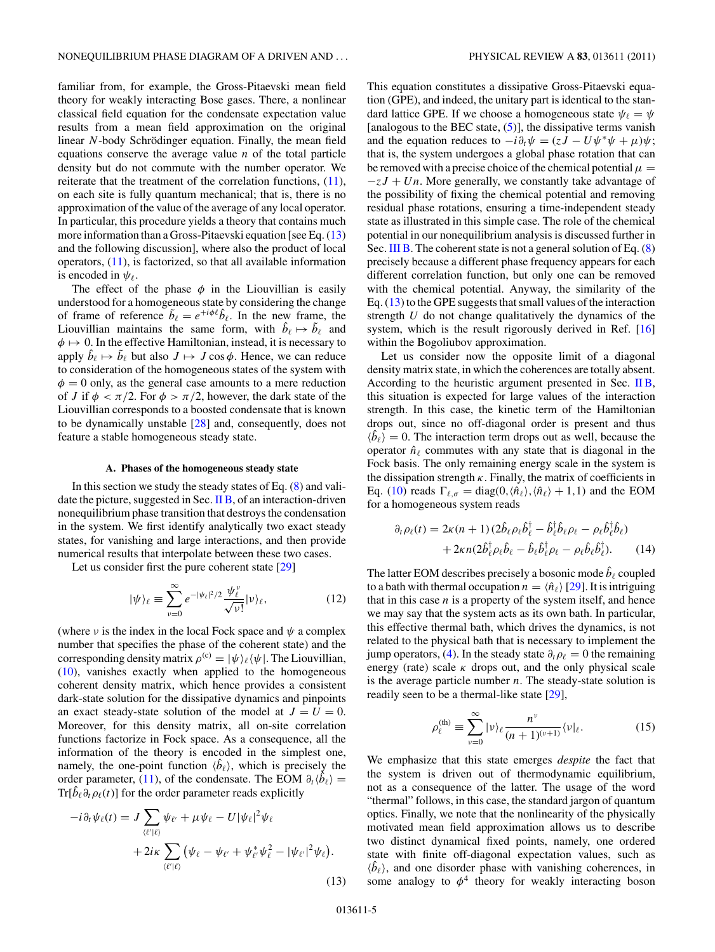<span id="page-4-0"></span>familiar from, for example, the Gross-Pitaevski mean field theory for weakly interacting Bose gases. There, a nonlinear classical field equation for the condensate expectation value results from a mean field approximation on the original linear *N*-body Schrödinger equation. Finally, the mean field equations conserve the average value *n* of the total particle density but do not commute with the number operator. We reiterate that the treatment of the correlation functions,  $(11)$ , on each site is fully quantum mechanical; that is, there is no approximation of the value of the average of any local operator. In particular, this procedure yields a theory that contains much more information than a Gross-Pitaevski equation [see Eq. (13) and the following discussion], where also the product of local operators, [\(11\)](#page-3-0), is factorized, so that all available information is encoded in  $\psi_{\ell}$ .

The effect of the phase  $\phi$  in the Liouvillian is easily understood for a homogeneous state by considering the change of frame of reference  $\tilde{b}_{\ell} = e^{+i\phi\ell} \hat{b}_{\ell}$ . In the new frame, the Liouvillian maintains the same form, with  $\hat{b}_{\ell} \mapsto \tilde{b}_{\ell}$  and  $\phi \mapsto 0$ . In the effective Hamiltonian, instead, it is necessary to apply  $\hat{b}_{\ell} \mapsto \tilde{b}_{\ell}$  but also  $J \mapsto J \cos \phi$ . Hence, we can reduce to consideration of the homogeneous states of the system with  $\phi = 0$  only, as the general case amounts to a mere reduction of *J* if  $\phi < \pi/2$ . For  $\phi > \pi/2$ , however, the dark state of the Liouvillian corresponds to a boosted condensate that is known to be dynamically unstable [\[28\]](#page-19-0) and, consequently, does not feature a stable homogeneous steady state.

#### **A. Phases of the homogeneous steady state**

In this section we study the steady states of Eq. [\(8\)](#page-3-0) and validate the picture, suggested in Sec.  $\overline{I}$  IB, of an interaction-driven nonequilibrium phase transition that destroys the condensation in the system. We first identify analytically two exact steady states, for vanishing and large interactions, and then provide numerical results that interpolate between these two cases.

Let us consider first the pure coherent state [\[29\]](#page-19-0)

$$
|\psi\rangle_{\ell} \equiv \sum_{\nu=0}^{\infty} e^{-|\psi_{\ell}|^{2}/2} \frac{\psi_{\ell}^{\nu}}{\sqrt{\nu!}} | \nu\rangle_{\ell}, \qquad (12)
$$

(where  $\nu$  is the index in the local Fock space and  $\nu$  a complex number that specifies the phase of the coherent state) and the corresponding density matrix  $\rho^{(c)} = |\psi\rangle_{\ell} \langle \psi|$ . The Liouvillian, [\(10\)](#page-3-0), vanishes exactly when applied to the homogeneous coherent density matrix, which hence provides a consistent dark-state solution for the dissipative dynamics and pinpoints an exact steady-state solution of the model at  $J = U = 0$ . Moreover, for this density matrix, all on-site correlation functions factorize in Fock space. As a consequence, all the information of the theory is encoded in the simplest one, namely, the one-point function  $\langle \hat{b}_\ell \rangle$ , which is precisely the order parameter, [\(11\)](#page-3-0), of the condensate. The EOM  $\partial_t \langle \hat{b}_\ell \rangle$  =  $Tr[\hat{b}_{\ell}\partial_t \rho_{\ell}(t)]$  for the order parameter reads explicitly

$$
-i\partial_t \psi_{\ell}(t) = J \sum_{\langle \ell' | \ell \rangle} \psi_{\ell'} + \mu \psi_{\ell} - U |\psi_{\ell}|^2 \psi_{\ell} + 2i\kappa \sum_{\langle \ell' | \ell \rangle} (\psi_{\ell} - \psi_{\ell'} + \psi_{\ell'}^* \psi_{\ell}^2 - |\psi_{\ell'}|^2 \psi_{\ell}).
$$
\n(13)

This equation constitutes a dissipative Gross-Pitaevski equation (GPE), and indeed, the unitary part is identical to the standard lattice GPE. If we choose a homogeneous state  $\psi_{\ell} = \psi$ [analogous to the BEC state,  $(5)$ ], the dissipative terms vanish and the equation reduces to  $-i\partial_t \psi = (zJ - U\psi^* \psi + \mu)\psi;$ that is, the system undergoes a global phase rotation that can be removed with a precise choice of the chemical potential  $\mu =$ −*zJ* + *Un*. More generally, we constantly take advantage of the possibility of fixing the chemical potential and removing residual phase rotations, ensuring a time-independent steady state as illustrated in this simple case. The role of the chemical potential in our nonequilibrium analysis is discussed further in Sec. [III B.](#page-7-0) The coherent state is not a general solution of Eq.  $(8)$ precisely because a different phase frequency appears for each different correlation function, but only one can be removed with the chemical potential. Anyway, the similarity of the Eq. (13) to the GPE suggests that small values of the interaction strength *U* do not change qualitatively the dynamics of the system, which is the result rigorously derived in Ref. [\[16\]](#page-19-0) within the Bogoliubov approximation.

Let us consider now the opposite limit of a diagonal density matrix state, in which the coherences are totally absent. According to the heuristic argument presented in Sec. [II B,](#page-2-0) this situation is expected for large values of the interaction strength. In this case, the kinetic term of the Hamiltonian drops out, since no off-diagonal order is present and thus  $\langle \hat{b}_\ell \rangle = 0$ . The interaction term drops out as well, because the operator  $\hat{n}_{\ell}$  commutes with any state that is diagonal in the Fock basis. The only remaining energy scale in the system is the dissipation strength  $\kappa$ . Finally, the matrix of coefficients in Eq. [\(10\)](#page-3-0) reads  $\Gamma_{\ell,\sigma} = \text{diag}(0, \langle \hat{n}_{\ell} \rangle, \langle \hat{n}_{\ell} \rangle + 1, 1)$  and the EOM for a homogeneous system reads

$$
\partial_t \rho_\ell(t) = 2\kappa (n+1) (2\hat{b}_\ell \rho_\ell \hat{b}_\ell^\dagger - \hat{b}_\ell^\dagger \hat{b}_\ell \rho_\ell - \rho_\ell \hat{b}_\ell^\dagger \hat{b}_\ell) + 2\kappa n (2\hat{b}_\ell^\dagger \rho_\ell \hat{b}_\ell - \hat{b}_\ell \hat{b}_\ell^\dagger \rho_\ell - \rho_\ell \hat{b}_\ell \hat{b}_\ell^\dagger).
$$
(14)

The latter EOM describes precisely a bosonic mode  $\hat{b}_\ell$  coupled to a bath with thermal occupation  $n = \langle \hat{n}_{\ell} \rangle$  [\[29\]](#page-19-0). It is intriguing that in this case  $n$  is a property of the system itself, and hence we may say that the system acts as its own bath. In particular, this effective thermal bath, which drives the dynamics, is not related to the physical bath that is necessary to implement the jump operators, [\(4\)](#page-1-0). In the steady state  $\partial_t \rho_\ell = 0$  the remaining energy (rate) scale  $\kappa$  drops out, and the only physical scale is the average particle number *n*. The steady-state solution is readily seen to be a thermal-like state [\[29\]](#page-19-0),

$$
\rho_{\ell}^{(\text{th})} \equiv \sum_{\nu=0}^{\infty} |\nu\rangle_{\ell} \frac{n^{\nu}}{(n+1)^{(\nu+1)}} \langle \nu|_{\ell}.
$$
 (15)

We emphasize that this state emerges *despite* the fact that the system is driven out of thermodynamic equilibrium, not as a consequence of the latter. The usage of the word "thermal" follows, in this case, the standard jargon of quantum optics. Finally, we note that the nonlinearity of the physically motivated mean field approximation allows us to describe two distinct dynamical fixed points, namely, one ordered state with finite off-diagonal expectation values, such as  $\langle \hat{b}_\ell \rangle$ , and one disorder phase with vanishing coherences, in some analogy to  $\phi^4$  theory for weakly interacting boson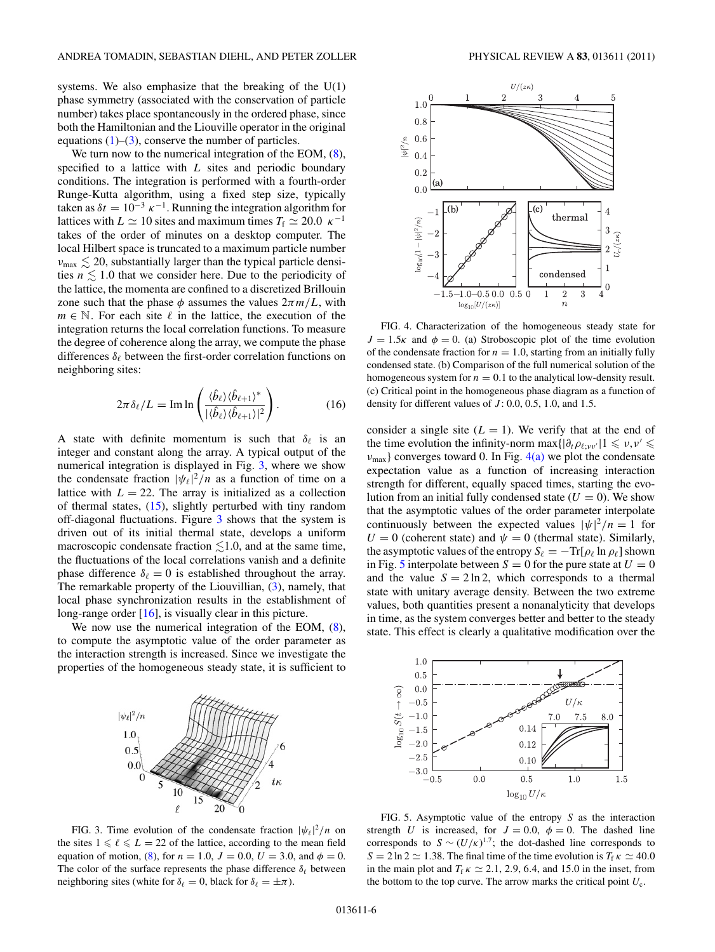<span id="page-5-0"></span>systems. We also emphasize that the breaking of the  $U(1)$ phase symmetry (associated with the conservation of particle number) takes place spontaneously in the ordered phase, since both the Hamiltonian and the Liouville operator in the original equations  $(1)$ – $(3)$ , conserve the number of particles.

We turn now to the numerical integration of the EOM,  $(8)$ , specified to a lattice with *L* sites and periodic boundary conditions. The integration is performed with a fourth-order Runge-Kutta algorithm, using a fixed step size, typically taken as  $\delta t = 10^{-3} \kappa^{-1}$ . Running the integration algorithm for lattices with  $L \approx 10$  sites and maximum times  $T_f \approx 20.0 \ \kappa^{-1}$ takes of the order of minutes on a desktop computer. The local Hilbert space is truncated to a maximum particle number  $\nu_{\text{max}} \lesssim 20$ , substantially larger than the typical particle densities  $n \lesssim 1.0$  that we consider here. Due to the periodicity of the lattice, the momenta are confined to a discretized Brillouin zone such that the phase  $\phi$  assumes the values  $2\pi m/L$ , with  $m \in \mathbb{N}$ . For each site  $\ell$  in the lattice, the execution of the integration returns the local correlation functions. To measure the degree of coherence along the array, we compute the phase differences  $\delta_{\ell}$  between the first-order correlation functions on neighboring sites:

$$
2\pi \delta_{\ell}/L = \operatorname{Im} \ln \left( \frac{\langle \hat{b}_{\ell} \rangle \langle \hat{b}_{\ell+1} \rangle^*}{|\langle \hat{b}_{\ell} \rangle \langle \hat{b}_{\ell+1} \rangle|^2} \right). \tag{16}
$$

A state with definite momentum is such that  $\delta_{\ell}$  is an integer and constant along the array. A typical output of the numerical integration is displayed in Fig. 3, where we show the condensate fraction  $|\psi_{\ell}|^2/n$  as a function of time on a lattice with  $L = 22$ . The array is initialized as a collection of thermal states, [\(15\)](#page-4-0), slightly perturbed with tiny random off-diagonal fluctuations. Figure 3 shows that the system is driven out of its initial thermal state, develops a uniform macroscopic condensate fraction  $\lesssim$ 1.0, and at the same time, the fluctuations of the local correlations vanish and a definite phase difference  $\delta_{\ell} = 0$  is established throughout the array. The remarkable property of the Liouvillian, [\(3\)](#page-1-0), namely, that local phase synchronization results in the establishment of long-range order  $[16]$ , is visually clear in this picture.

We now use the numerical integration of the EOM,  $(8)$ , to compute the asymptotic value of the order parameter as the interaction strength is increased. Since we investigate the properties of the homogeneous steady state, it is sufficient to



FIG. 3. Time evolution of the condensate fraction  $|\psi_{\ell}|^2/n$  on the sites  $1 \leq \ell \leq L = 22$  of the lattice, according to the mean field equation of motion, [\(8\)](#page-3-0), for  $n = 1.0$ ,  $J = 0.0$ ,  $U = 3.0$ , and  $\phi = 0$ . The color of the surface represents the phase difference  $\delta_{\ell}$  between neighboring sites (white for  $\delta_{\ell} = 0$ , black for  $\delta_{\ell} = \pm \pi$ ).



FIG. 4. Characterization of the homogeneous steady state for  $J = 1.5\kappa$  and  $\phi = 0$ . (a) Stroboscopic plot of the time evolution of the condensate fraction for  $n = 1.0$ , starting from an initially fully condensed state. (b) Comparison of the full numerical solution of the homogeneous system for  $n = 0.1$  to the analytical low-density result. (c) Critical point in the homogeneous phase diagram as a function of density for different values of *J* : 0.0, 0.5, 1*.*0, and 1*.*5.

consider a single site  $(L = 1)$ . We verify that at the end of the time evolution the infinity-norm  $\max\{|\partial_t \rho_{\ell;\nu\nu'}|1 \leq \nu,\nu' \leq \ell\}$  $v_{\text{max}}$ } converges toward 0. In Fig.  $4(a)$  we plot the condensate expectation value as a function of increasing interaction strength for different, equally spaced times, starting the evolution from an initial fully condensed state  $(U = 0)$ . We show that the asymptotic values of the order parameter interpolate continuously between the expected values  $|\psi|^2/n = 1$  for  $U = 0$  (coherent state) and  $\psi = 0$  (thermal state). Similarly, the asymptotic values of the entropy  $S_\ell = -\text{Tr}[\rho_\ell \ln \rho_\ell]$  shown in Fig. 5 interpolate between  $S = 0$  for the pure state at  $U = 0$ and the value  $S = 2 \ln 2$ , which corresponds to a thermal state with unitary average density. Between the two extreme values, both quantities present a nonanalyticity that develops in time, as the system converges better and better to the steady state. This effect is clearly a qualitative modification over the



FIG. 5. Asymptotic value of the entropy *S* as the interaction strength *U* is increased, for  $J = 0.0$ ,  $\phi = 0$ . The dashed line corresponds to  $S \sim (U/\kappa)^{1.7}$ ; the dot-dashed line corresponds to  $S = 2 \ln 2 \approx 1.38$ . The final time of the time evolution is  $T_f \kappa \approx 40.0$ in the main plot and  $T_f \kappa \simeq 2.1, 2.9, 6.4,$  and 15.0 in the inset, from the bottom to the top curve. The arrow marks the critical point  $U_c$ .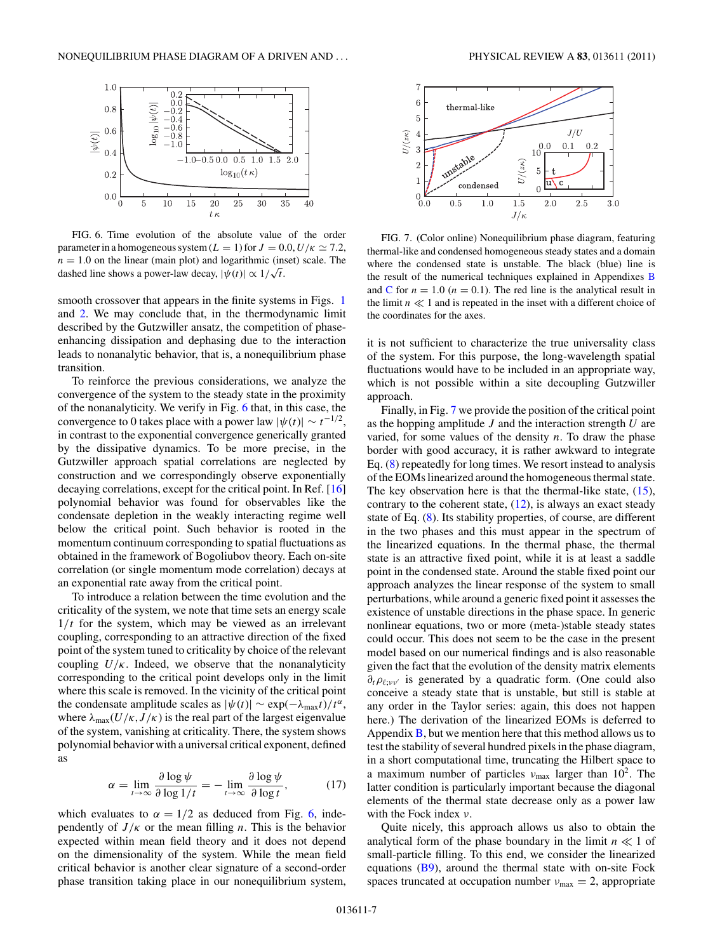<span id="page-6-0"></span>

FIG. 6. Time evolution of the absolute value of the order parameter in a homogeneous system  $(L = 1)$  for  $J = 0.0$ ,  $U/\kappa \approx 7.2$ ,  $n = 1.0$  on the linear (main plot) and logarithmic (inset) scale. The  $n = 1.0$  on the linear (main piot) and logarithmic (in dashed line shows a power-law decay,  $|\psi(t)| \propto 1/\sqrt{t}$ .

smooth crossover that appears in the finite systems in Figs. [1](#page-2-0) and [2.](#page-3-0) We may conclude that, in the thermodynamic limit described by the Gutzwiller ansatz, the competition of phaseenhancing dissipation and dephasing due to the interaction leads to nonanalytic behavior, that is, a nonequilibrium phase transition.

To reinforce the previous considerations, we analyze the convergence of the system to the steady state in the proximity of the nonanalyticity. We verify in Fig. 6 that, in this case, the convergence to 0 takes place with a power law  $|\psi(t)| \sim t^{-1/2}$ , in contrast to the exponential convergence generically granted by the dissipative dynamics. To be more precise, in the Gutzwiller approach spatial correlations are neglected by construction and we correspondingly observe exponentially decaying correlations, except for the critical point. In Ref. [\[16\]](#page-19-0) polynomial behavior was found for observables like the condensate depletion in the weakly interacting regime well below the critical point. Such behavior is rooted in the momentum continuum corresponding to spatial fluctuations as obtained in the framework of Bogoliubov theory. Each on-site correlation (or single momentum mode correlation) decays at an exponential rate away from the critical point.

To introduce a relation between the time evolution and the criticality of the system, we note that time sets an energy scale  $1/t$  for the system, which may be viewed as an irrelevant coupling, corresponding to an attractive direction of the fixed point of the system tuned to criticality by choice of the relevant coupling  $U/\kappa$ . Indeed, we observe that the nonanalyticity corresponding to the critical point develops only in the limit where this scale is removed. In the vicinity of the critical point the condensate amplitude scales as  $|\psi(t)| \sim \exp(-\lambda_{\text{max}}t)/t^{\alpha}$ , where  $\lambda_{\text{max}}(U/\kappa, J/\kappa)$  is the real part of the largest eigenvalue of the system, vanishing at criticality. There, the system shows polynomial behavior with a universal critical exponent, defined as

$$
\alpha = \lim_{t \to \infty} \frac{\partial \log \psi}{\partial \log 1/t} = -\lim_{t \to \infty} \frac{\partial \log \psi}{\partial \log t},\tag{17}
$$

which evaluates to  $\alpha = 1/2$  as deduced from Fig. 6, independently of  $J/\kappa$  or the mean filling *n*. This is the behavior expected within mean field theory and it does not depend on the dimensionality of the system. While the mean field critical behavior is another clear signature of a second-order phase transition taking place in our nonequilibrium system,



FIG. 7. (Color online) Nonequilibrium phase diagram, featuring thermal-like and condensed homogeneous steady states and a domain where the condensed state is unstable. The black (blue) line is the result of the numerical techniques explained in Appendixes [B](#page-16-0) and [C](#page-17-0) for  $n = 1.0$  ( $n = 0.1$ ). The red line is the analytical result in the limit  $n \ll 1$  and is repeated in the inset with a different choice of the coordinates for the axes.

it is not sufficient to characterize the true universality class of the system. For this purpose, the long-wavelength spatial fluctuations would have to be included in an appropriate way, which is not possible within a site decoupling Gutzwiller approach.

Finally, in Fig. 7 we provide the position of the critical point as the hopping amplitude *J* and the interaction strength *U* are varied, for some values of the density *n*. To draw the phase border with good accuracy, it is rather awkward to integrate Eq. [\(8\)](#page-3-0) repeatedly for long times. We resort instead to analysis of the EOMs linearized around the homogeneous thermal state. The key observation here is that the thermal-like state,  $(15)$ , contrary to the coherent state,  $(12)$ , is always an exact steady state of Eq. [\(8\)](#page-3-0). Its stability properties, of course, are different in the two phases and this must appear in the spectrum of the linearized equations. In the thermal phase, the thermal state is an attractive fixed point, while it is at least a saddle point in the condensed state. Around the stable fixed point our approach analyzes the linear response of the system to small perturbations, while around a generic fixed point it assesses the existence of unstable directions in the phase space. In generic nonlinear equations, two or more (meta-)stable steady states could occur. This does not seem to be the case in the present model based on our numerical findings and is also reasonable given the fact that the evolution of the density matrix elements *∂tρ*;*νν*- is generated by a quadratic form. (One could also conceive a steady state that is unstable, but still is stable at any order in the Taylor series: again, this does not happen here.) The derivation of the linearized EOMs is deferred to Appendix  $\bf{B}$ , but we mention here that this method allows us to test the stability of several hundred pixels in the phase diagram, in a short computational time, truncating the Hilbert space to a maximum number of particles  $v_{\text{max}}$  larger than 10<sup>2</sup>. The latter condition is particularly important because the diagonal elements of the thermal state decrease only as a power law with the Fock index *ν*.

Quite nicely, this approach allows us also to obtain the analytical form of the phase boundary in the limit  $n \ll 1$  of small-particle filling. To this end, we consider the linearized equations [\(B9\)](#page-17-0), around the thermal state with on-site Fock spaces truncated at occupation number  $v_{\text{max}} = 2$ , appropriate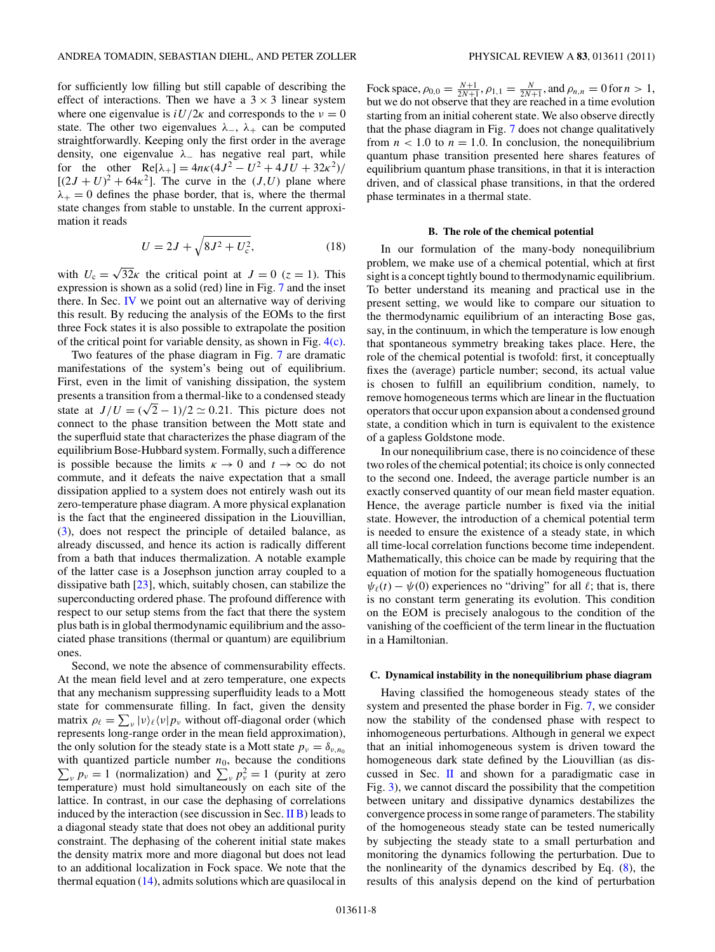<span id="page-7-0"></span>for sufficiently low filling but still capable of describing the effect of interactions. Then we have a  $3 \times 3$  linear system where one eigenvalue is  $iU/2\kappa$  and corresponds to the  $\nu = 0$ state. The other two eigenvalues *λ*−, *λ*<sup>+</sup> can be computed straightforwardly. Keeping only the first order in the average density, one eigenvalue *λ*<sup>−</sup> has negative real part, while for the other  $\text{Re}[\lambda_{+}] = 4n\kappa(4J^{2} - U^{2} + 4JU + 32\kappa^{2})/$  $[(2J + U)^2 + 64\kappa^2]$ . The curve in the  $(J, U)$  plane where  $\lambda_+ = 0$  defines the phase border, that is, where the thermal state changes from stable to unstable. In the current approximation it reads

$$
U = 2J + \sqrt{8J^2 + U_c^2},\tag{18}
$$

with  $U_c = \sqrt{32\kappa}$  the critical point at  $J = 0$  ( $z = 1$ ). This expression is shown as a solid (red) line in Fig. [7](#page-6-0) and the inset there. In Sec. [IV](#page-8-0) we point out an alternative way of deriving this result. By reducing the analysis of the EOMs to the first three Fock states it is also possible to extrapolate the position of the critical point for variable density, as shown in Fig. [4\(c\).](#page-5-0)

Two features of the phase diagram in Fig. [7](#page-6-0) are dramatic manifestations of the system's being out of equilibrium. First, even in the limit of vanishing dissipation, the system presents a transition from a thermal-like to a condensed steady presents a transition from a thermal-like to a condensed steady<br>state at  $J/U = (\sqrt{2} - 1)/2 \simeq 0.21$ . This picture does not connect to the phase transition between the Mott state and the superfluid state that characterizes the phase diagram of the equilibrium Bose-Hubbard system. Formally, such a difference is possible because the limits  $\kappa \to 0$  and  $t \to \infty$  do not commute, and it defeats the naive expectation that a small dissipation applied to a system does not entirely wash out its zero-temperature phase diagram. A more physical explanation is the fact that the engineered dissipation in the Liouvillian, [\(3\)](#page-1-0), does not respect the principle of detailed balance, as already discussed, and hence its action is radically different from a bath that induces thermalization. A notable example of the latter case is a Josephson junction array coupled to a dissipative bath [\[23\]](#page-19-0), which, suitably chosen, can stabilize the superconducting ordered phase. The profound difference with respect to our setup stems from the fact that there the system plus bath is in global thermodynamic equilibrium and the associated phase transitions (thermal or quantum) are equilibrium ones.

Second, we note the absence of commensurability effects. At the mean field level and at zero temperature, one expects that any mechanism suppressing superfluidity leads to a Mott state for commensurate filling. In fact, given the density matrix  $\rho_{\ell} = \sum_{\nu} |\nu\rangle_{\ell} \langle \nu| p_{\nu}$  without off-diagonal order (which represents long-range order in the mean field approximation), the only solution for the steady state is a Mott state  $p_{\nu} = \delta_{\nu,n_0}$ with quantized particle number  $n_0$ , because the conditions  $\sum_{\nu} p_{\nu}^2 = 1$  (purity at zero temperature) must hold simultaneously on each site of the lattice. In contrast, in our case the dephasing of correlations induced by the interaction (see discussion in Sec. [II B\)](#page-2-0) leads to a diagonal steady state that does not obey an additional purity constraint. The dephasing of the coherent initial state makes the density matrix more and more diagonal but does not lead to an additional localization in Fock space. We note that the thermal equation [\(14\)](#page-4-0), admits solutions which are quasilocal in Fock space,  $\rho_{0,0} = \frac{N+1}{2N+1}, \rho_{1,1} = \frac{N}{2N+1}$ , and  $\rho_{n,n} = 0$  for  $n > 1$ , but we do not observe that they are reached in a time evolution starting from an initial coherent state. We also observe directly that the phase diagram in Fig. [7](#page-6-0) does not change qualitatively from  $n < 1.0$  to  $n = 1.0$ . In conclusion, the nonequilibrium quantum phase transition presented here shares features of equilibrium quantum phase transitions, in that it is interaction driven, and of classical phase transitions, in that the ordered phase terminates in a thermal state.

### **B. The role of the chemical potential**

In our formulation of the many-body nonequilibrium problem, we make use of a chemical potential, which at first sight is a concept tightly bound to thermodynamic equilibrium. To better understand its meaning and practical use in the present setting, we would like to compare our situation to the thermodynamic equilibrium of an interacting Bose gas, say, in the continuum, in which the temperature is low enough that spontaneous symmetry breaking takes place. Here, the role of the chemical potential is twofold: first, it conceptually fixes the (average) particle number; second, its actual value is chosen to fulfill an equilibrium condition, namely, to remove homogeneous terms which are linear in the fluctuation operators that occur upon expansion about a condensed ground state, a condition which in turn is equivalent to the existence of a gapless Goldstone mode.

In our nonequilibrium case, there is no coincidence of these two roles of the chemical potential; its choice is only connected to the second one. Indeed, the average particle number is an exactly conserved quantity of our mean field master equation. Hence, the average particle number is fixed via the initial state. However, the introduction of a chemical potential term is needed to ensure the existence of a steady state, in which all time-local correlation functions become time independent. Mathematically, this choice can be made by requiring that the equation of motion for the spatially homogeneous fluctuation  $\psi_{\ell}(t) - \psi(0)$  experiences no "driving" for all  $\ell$ ; that is, there is no constant term generating its evolution. This condition on the EOM is precisely analogous to the condition of the vanishing of the coefficient of the term linear in the fluctuation in a Hamiltonian.

### **C. Dynamical instability in the nonequilibrium phase diagram**

Having classified the homogeneous steady states of the system and presented the phase border in Fig. [7,](#page-6-0) we consider now the stability of the condensed phase with respect to inhomogeneous perturbations. Although in general we expect that an initial inhomogeneous system is driven toward the homogeneous dark state defined by the Liouvillian (as discussed in Sec. [II](#page-1-0) and shown for a paradigmatic case in Fig. [3\)](#page-5-0), we cannot discard the possibility that the competition between unitary and dissipative dynamics destabilizes the convergence process in some range of parameters. The stability of the homogeneous steady state can be tested numerically by subjecting the steady state to a small perturbation and monitoring the dynamics following the perturbation. Due to the nonlinearity of the dynamics described by Eq.  $(8)$ , the results of this analysis depend on the kind of perturbation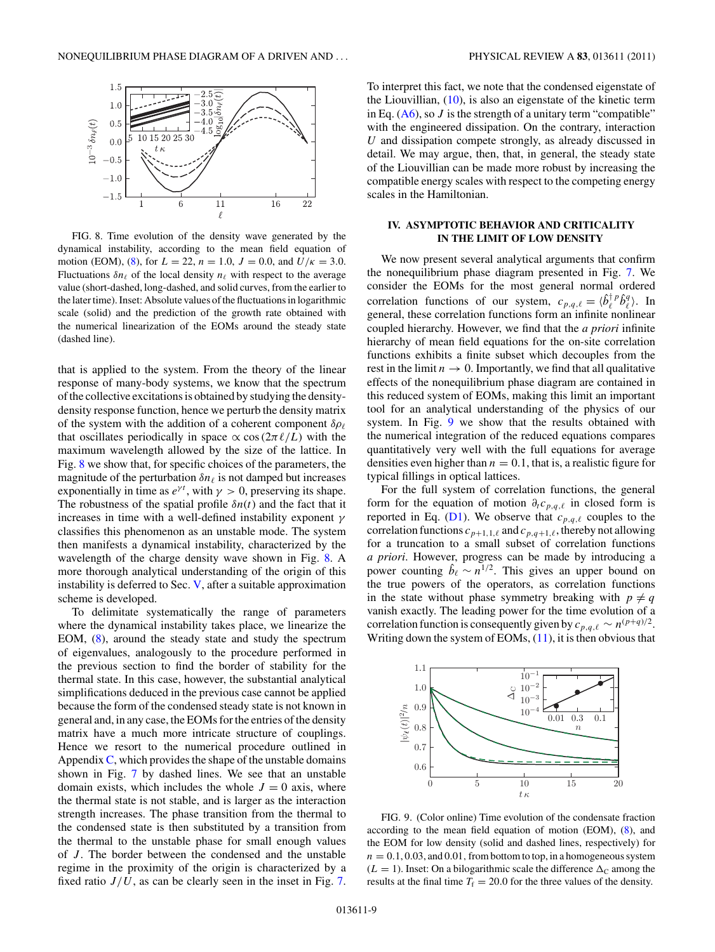<span id="page-8-0"></span>

FIG. 8. Time evolution of the density wave generated by the dynamical instability, according to the mean field equation of motion (EOM), [\(8\)](#page-3-0), for  $L = 22$ ,  $n = 1.0$ ,  $J = 0.0$ , and  $U/\kappa = 3.0$ . Fluctuations  $\delta n_{\ell}$  of the local density  $n_{\ell}$  with respect to the average value (short-dashed, long-dashed, and solid curves, from the earlier to the later time). Inset: Absolute values of the fluctuations in logarithmic scale (solid) and the prediction of the growth rate obtained with the numerical linearization of the EOMs around the steady state (dashed line).

that is applied to the system. From the theory of the linear response of many-body systems, we know that the spectrum of the collective excitations is obtained by studying the densitydensity response function, hence we perturb the density matrix of the system with the addition of a coherent component *δρ* that oscillates periodically in space  $\propto$  cos ( $2\pi\ell/L$ ) with the maximum wavelength allowed by the size of the lattice. In Fig. 8 we show that, for specific choices of the parameters, the magnitude of the perturbation  $\delta n_\ell$  is not damped but increases exponentially in time as  $e^{\gamma t}$ , with  $\gamma > 0$ , preserving its shape. The robustness of the spatial profile  $\delta n(t)$  and the fact that it increases in time with a well-defined instability exponent *γ* classifies this phenomenon as an unstable mode. The system then manifests a dynamical instability, characterized by the wavelength of the charge density wave shown in Fig. 8. A more thorough analytical understanding of the origin of this instability is deferred to Sec. [V,](#page-9-0) after a suitable approximation scheme is developed.

To delimitate systematically the range of parameters where the dynamical instability takes place, we linearize the EOM, [\(8\)](#page-3-0), around the steady state and study the spectrum of eigenvalues, analogously to the procedure performed in the previous section to find the border of stability for the thermal state. In this case, however, the substantial analytical simplifications deduced in the previous case cannot be applied because the form of the condensed steady state is not known in general and, in any case, the EOMs for the entries of the density matrix have a much more intricate structure of couplings. Hence we resort to the numerical procedure outlined in Appendix  $C$ , which provides the shape of the unstable domains shown in Fig. [7](#page-6-0) by dashed lines. We see that an unstable domain exists, which includes the whole  $J = 0$  axis, where the thermal state is not stable, and is larger as the interaction strength increases. The phase transition from the thermal to the condensed state is then substituted by a transition from the thermal to the unstable phase for small enough values of *J* . The border between the condensed and the unstable regime in the proximity of the origin is characterized by a fixed ratio  $J/U$ , as can be clearly seen in the inset in Fig. [7.](#page-6-0)

To interpret this fact, we note that the condensed eigenstate of the Liouvillian, [\(10\)](#page-3-0), is also an eigenstate of the kinetic term in Eq.  $(A6)$ , so *J* is the strength of a unitary term "compatible" with the engineered dissipation. On the contrary, interaction *U* and dissipation compete strongly, as already discussed in detail. We may argue, then, that, in general, the steady state of the Liouvillian can be made more robust by increasing the compatible energy scales with respect to the competing energy scales in the Hamiltonian.

### **IV. ASYMPTOTIC BEHAVIOR AND CRITICALITY IN THE LIMIT OF LOW DENSITY**

We now present several analytical arguments that confirm the nonequilibrium phase diagram presented in Fig. [7.](#page-6-0) We consider the EOMs for the most general normal ordered correlation functions of our system,  $c_{p,q,\ell} = \langle \hat{b}^{\dagger}_{\ell}{}^{p} \hat{b}^{q}_{\ell} \rangle$ . In general, these correlation functions form an infinite nonlinear coupled hierarchy. However, we find that the *a priori* infinite hierarchy of mean field equations for the on-site correlation functions exhibits a finite subset which decouples from the rest in the limit  $n \to 0$ . Importantly, we find that all qualitative effects of the nonequilibrium phase diagram are contained in this reduced system of EOMs, making this limit an important tool for an analytical understanding of the physics of our system. In Fig. 9 we show that the results obtained with the numerical integration of the reduced equations compares quantitatively very well with the full equations for average densities even higher than  $n = 0.1$ , that is, a realistic figure for typical fillings in optical lattices.

For the full system of correlation functions, the general form for the equation of motion  $\partial_t c_{p,q,\ell}$  in closed form is reported in Eq. [\(D1\)](#page-18-0). We observe that  $c_{p,q,\ell}$  couples to the correlation functions  $c_{p+1,1,\ell}$  and  $c_{p,q+1,\ell}$ , thereby not allowing for a truncation to a small subset of correlation functions *a priori*. However, progress can be made by introducing a power counting  $\hat{b}_{\ell} \sim n^{1/2}$ . This gives an upper bound on the true powers of the operators, as correlation functions in the state without phase symmetry breaking with  $p \neq q$ vanish exactly. The leading power for the time evolution of a correlation function is consequently given by  $c_{p,q,\ell} \sim n^{(p+q)/2}$ . Writing down the system of EOMs,  $(11)$ , it is then obvious that



FIG. 9. (Color online) Time evolution of the condensate fraction according to the mean field equation of motion (EOM), [\(8\)](#page-3-0), and the EOM for low density (solid and dashed lines, respectively) for  $n = 0.1, 0.03,$  and  $0.01$ , from bottom to top, in a homogeneous system  $(L = 1)$ . Inset: On a bilogarithmic scale the difference  $\Delta_C$  among the results at the final time  $T_f = 20.0$  for the three values of the density.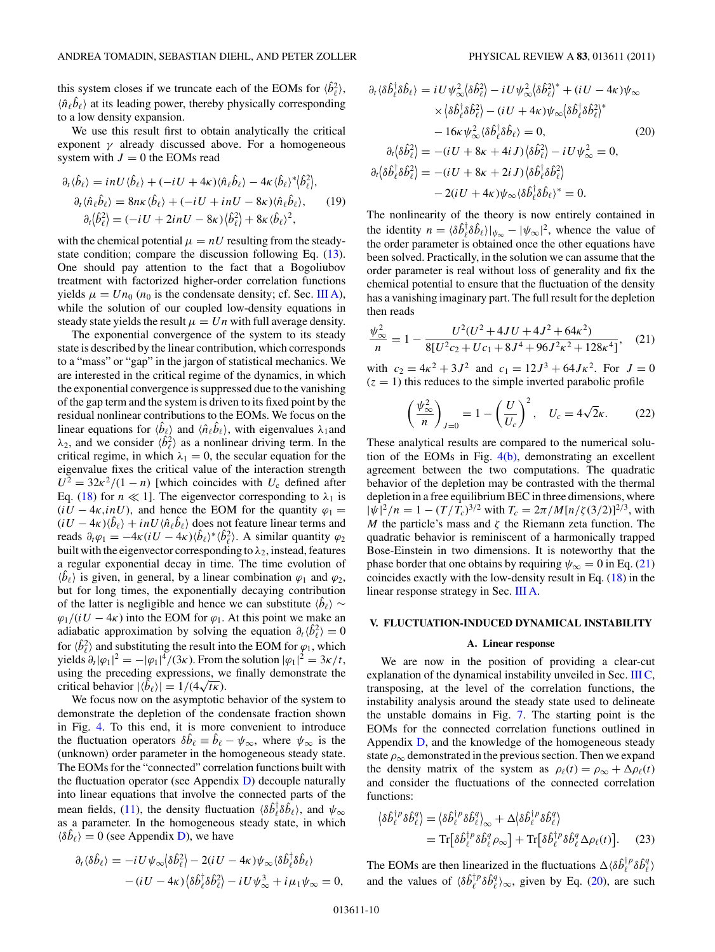<span id="page-9-0"></span>this system closes if we truncate each of the EOMs for  $\langle \hat{b}_\ell^2 \rangle$ ,  $\langle \hat{n}_{\ell} \hat{b}_{\ell} \rangle$  at its leading power, thereby physically corresponding to a low density expansion.

We use this result first to obtain analytically the critical exponent  $\gamma$  already discussed above. For a homogeneous system with  $J = 0$  the EOMs read

$$
\partial_t \langle \hat{b}_{\ell} \rangle = inU \langle \hat{b}_{\ell} \rangle + (-iU + 4\kappa) \langle \hat{n}_{\ell} \hat{b}_{\ell} \rangle - 4\kappa \langle \hat{b}_{\ell} \rangle^* \langle \hat{b}_{\ell}^2 \rangle,
$$
  
\n
$$
\partial_t \langle \hat{n}_{\ell} \hat{b}_{\ell} \rangle = 8n\kappa \langle \hat{b}_{\ell} \rangle + (-iU + inU - 8\kappa) \langle \hat{n}_{\ell} \hat{b}_{\ell} \rangle, \qquad (19)
$$
  
\n
$$
\partial_t \langle \hat{b}_{\ell}^2 \rangle = (-iU + 2inU - 8\kappa) \langle \hat{b}_{\ell}^2 \rangle + 8\kappa \langle \hat{b}_{\ell} \rangle^2,
$$

with the chemical potential  $\mu = nU$  resulting from the steadystate condition; compare the discussion following Eq. [\(13\)](#page-4-0). One should pay attention to the fact that a Bogoliubov treatment with factorized higher-order correlation functions yields  $\mu = U n_0$  ( $n_0$  is the condensate density; cf. Sec. [III A\)](#page-4-0), while the solution of our coupled low-density equations in steady state yields the result  $\mu = Un$  with full average density.

The exponential convergence of the system to its steady state is described by the linear contribution, which corresponds to a "mass" or "gap" in the jargon of statistical mechanics. We are interested in the critical regime of the dynamics, in which the exponential convergence is suppressed due to the vanishing of the gap term and the system is driven to its fixed point by the residual nonlinear contributions to the EOMs. We focus on the linear equations for  $\langle \hat{b}_\ell \rangle$  and  $\langle \hat{n}_\ell \hat{b}_\ell \rangle$ , with eigenvalues  $\lambda_1$ and  $\lambda_2$ , and we consider  $\langle \hat{b}_\ell^2 \rangle$  as a nonlinear driving term. In the critical regime, in which  $\lambda_1 = 0$ , the secular equation for the eigenvalue fixes the critical value of the interaction strength  $U^2 = 32\kappa^2/(1-n)$  [which coincides with  $U_c$  defined after Eq. [\(18\)](#page-7-0) for  $n \ll 1$ ]. The eigenvector corresponding to  $\lambda_1$  is  $(iU - 4\kappa, inU)$ , and hence the EOM for the quantity  $\varphi_1 =$  $(iU - 4\kappa)\langle \hat{b}_\ell \rangle + inU \langle \hat{n}_\ell \hat{b}_\ell \rangle$  does not feature linear terms and reads  $\partial_t \varphi_1 = -4\kappa (iU - 4\kappa) \langle \hat{b}_\ell \rangle^* \langle \hat{b}_\ell^2 \rangle$ . A similar quantity  $\varphi_2$ built with the eigenvector corresponding to  $\lambda_2$ , instead, features a regular exponential decay in time. The time evolution of  $\langle \hat{b}_\ell \rangle$  is given, in general, by a linear combination  $\varphi_1$  and  $\varphi_2$ , but for long times, the exponentially decaying contribution of the latter is negligible and hence we can substitute  $\langle \hat{b}_\ell \rangle \sim$  $\varphi_1/(iU - 4\kappa)$  into the EOM for  $\varphi_1$ . At this point we make an adiabatic approximation by solving the equation  $\partial_t \langle \hat{b}_\ell^2 \rangle = 0$ for  $\langle \hat{b}_{\ell}^2 \rangle$  and substituting the result into the EOM for  $\varphi_1$ , which  $y$ ields  $\partial_t |\varphi_1|^2 = -|\varphi_1|^4/(3\kappa)$ . From the solution  $|\varphi_1|^2 = 3\kappa/t$ , using the preceding expressions, we finally demonstrate the using the preceding expressions, w<br>critical behavior  $|\langle \hat{b}_{\ell} \rangle| = 1/(4\sqrt{t\kappa}).$ 

We focus now on the asymptotic behavior of the system to demonstrate the depletion of the condensate fraction shown in Fig. [4.](#page-5-0) To this end, it is more convenient to introduce the fluctuation operators  $\delta \hat{b}_\ell \equiv \hat{b}_\ell - \psi_\infty$ , where  $\psi_\infty$  is the (unknown) order parameter in the homogeneous steady state. The EOMs for the "connected" correlation functions built with the fluctuation operator (see Appendix [D\)](#page-17-0) decouple naturally into linear equations that involve the connected parts of the mean fields, [\(11\)](#page-3-0), the density fluctuation  $\langle \delta \hat{b}_\ell^{\dagger} \delta \hat{b}_\ell \rangle$ , and  $\psi_{\infty}$ as a parameter. In the homogeneous steady state, in which  $\langle \delta \hat{b}_l \rangle = 0$  (see Appendix [D\)](#page-17-0), we have

$$
\partial_t \langle \delta \hat{b}_\ell \rangle = -i U \psi_\infty \langle \delta \hat{b}_\ell^2 \rangle - 2(iU - 4\kappa) \psi_\infty \langle \delta \hat{b}_\ell^\dagger \delta \hat{b}_\ell \rangle \n- (iU - 4\kappa) \langle \delta \hat{b}_\ell^\dagger \delta \hat{b}_\ell^2 \rangle - i U \psi_\infty^3 + i \mu_1 \psi_\infty = 0,
$$

$$
\partial_t \langle \delta \hat{b}_{\ell}^{\dagger} \delta \hat{b}_{\ell} \rangle = i U \psi_{\infty}^2 \langle \delta \hat{b}_{\ell}^2 \rangle - i U \psi_{\infty}^2 \langle \delta \hat{b}_{\ell}^2 \rangle^* + (iU - 4\kappa) \psi_{\infty} \times \langle \delta \hat{b}_{\ell}^{\dagger} \delta \hat{b}_{\ell}^2 \rangle - (iU + 4\kappa) \psi_{\infty} \langle \delta \hat{b}_{\ell}^{\dagger} \delta \hat{b}_{\ell}^2 \rangle^* \n- 16\kappa \psi_{\infty}^2 \langle \delta \hat{b}_{\ell}^{\dagger} \delta \hat{b}_{\ell} \rangle = 0, \qquad (20) \n\partial_t \langle \delta \hat{b}_{\ell}^2 \rangle = - (iU + 8\kappa + 4iJ) \langle \delta \hat{b}_{\ell}^2 \rangle - iU \psi_{\infty}^2 = 0, \n\partial_t \langle \delta \hat{b}_{\ell}^{\dagger} \delta \hat{b}_{\ell}^2 \rangle = - (iU + 8\kappa + 2iJ) \langle \delta \hat{b}_{\ell}^{\dagger} \delta \hat{b}_{\ell}^2 \rangle \n- 2(iU + 4\kappa) \psi_{\infty} \langle \delta \hat{b}_{\ell}^{\dagger} \delta \hat{b}_{\ell} \rangle^* = 0.
$$

The nonlinearity of the theory is now entirely contained in the identity  $n = \langle \delta \hat{b}_\ell^{\dagger} \delta \hat{b}_\ell \rangle |_{\psi_{\infty}} - |\psi_{\infty}|^2$ , whence the value of the order parameter is obtained once the other equations have been solved. Practically, in the solution we can assume that the order parameter is real without loss of generality and fix the chemical potential to ensure that the fluctuation of the density has a vanishing imaginary part. The full result for the depletion then reads

$$
\frac{\psi_{\infty}^2}{n} = 1 - \frac{U^2(U^2 + 4JU + 4J^2 + 64\kappa^2)}{8[U^2c_2 + Uc_1 + 8J^4 + 96J^2\kappa^2 + 128\kappa^4]},
$$
 (21)

with  $c_2 = 4\kappa^2 + 3J^2$  and  $c_1 = 12J^3 + 64J\kappa^2$ . For  $J = 0$  $(z = 1)$  this reduces to the simple inverted parabolic profile

$$
\left(\frac{\psi_{\infty}^2}{n}\right)_{J=0} = 1 - \left(\frac{U}{U_c}\right)^2, \quad U_c = 4\sqrt{2\kappa}.\tag{22}
$$

These analytical results are compared to the numerical solution of the EOMs in Fig.  $4(b)$ , demonstrating an excellent agreement between the two computations. The quadratic behavior of the depletion may be contrasted with the thermal depletion in a free equilibrium BEC in three dimensions, where  $|\psi|^2/n = 1 - (T/T_c)^{3/2}$  with  $T_c = 2\pi/M[n/\zeta(3/2)]^{2/3}$ , with *M* the particle's mass and *ζ* the Riemann zeta function. The quadratic behavior is reminiscent of a harmonically trapped Bose-Einstein in two dimensions. It is noteworthy that the phase border that one obtains by requiring  $\psi_{\infty} = 0$  in Eq. (21) coincides exactly with the low-density result in Eq. [\(18\)](#page-7-0) in the linear response strategy in Sec. [III A.](#page-4-0)

### **V. FLUCTUATION-INDUCED DYNAMICAL INSTABILITY**

### **A. Linear response**

We are now in the position of providing a clear-cut explanation of the dynamical instability unveiled in Sec. [III C,](#page-7-0) transposing, at the level of the correlation functions, the instability analysis around the steady state used to delineate the unstable domains in Fig. [7.](#page-6-0) The starting point is the EOMs for the connected correlation functions outlined in Appendix [D,](#page-17-0) and the knowledge of the homogeneous steady state  $\rho_{\infty}$  demonstrated in the previous section. Then we expand the density matrix of the system as  $\rho_{\ell}(t) = \rho_{\infty} + \Delta \rho_{\ell}(t)$ and consider the fluctuations of the connected correlation functions:

$$
\langle \delta \hat{b}^{\dagger p}_{\ell} \delta \hat{b}^{q}_{\ell} \rangle = \langle \delta \hat{b}^{\dagger p}_{\ell} \delta \hat{b}^{q}_{\ell} \rangle_{\infty} + \Delta \langle \delta \hat{b}^{\dagger p}_{\ell} \delta \hat{b}^{q}_{\ell} \rangle
$$
  
= Tr $\left[ \delta \hat{b}^{\dagger p}_{\ell} \delta \hat{b}^{q}_{\ell} \rho_{\infty} \right] + Tr \left[ \delta \hat{b}^{\dagger p}_{\ell} \delta \hat{b}^{q}_{\ell} \Delta \rho_{\ell}(t) \right].$  (23)

The EOMs are then linearized in the fluctuations  $\Delta \langle \delta \hat{b}_\ell^{\dagger p} \delta \hat{b}_\ell^q \rangle$ and the values of  $\langle \delta \hat{b}^{\dagger p}_{\ell} \delta \hat{b}^q_{\ell} \rangle_{\infty}$ , given by Eq. (20), are such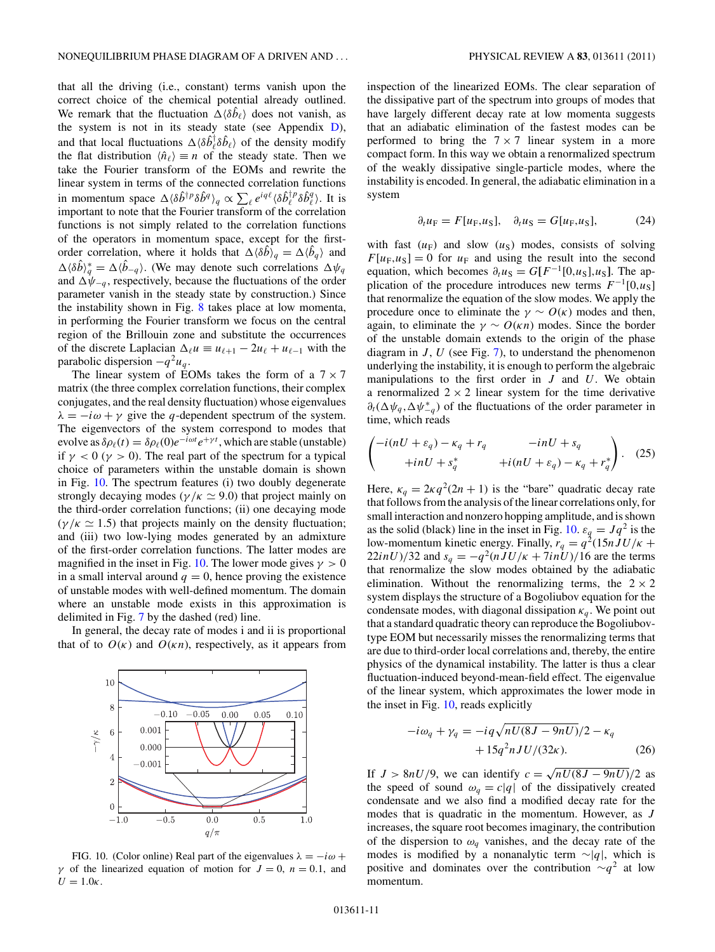<span id="page-10-0"></span>that all the driving (i.e., constant) terms vanish upon the correct choice of the chemical potential already outlined. We remark that the fluctuation  $\Delta \langle \delta \hat{b}_\ell \rangle$  does not vanish, as the system is not in its steady state (see Appendix [D\)](#page-17-0), and that local fluctuations  $\Delta \langle \delta \hat{b}^{\dagger}_{\ell} \delta \hat{b}_{\ell} \rangle$  of the density modify the flat distribution  $\langle \hat{n}_l \rangle = n$  of the steady state. Then we take the Fourier transform of the EOMs and rewrite the linear system in terms of the connected correlation functions in momentum space  $\Delta \langle \delta \hat{b}^{\dagger p} \delta \hat{b}^q \rangle_q \propto \sum_{\ell} e^{iq\ell} \langle \delta \hat{b}^{\dagger p}_{\ell} \delta \hat{b}^q_{\ell} \rangle$ . It is important to note that the Fourier transform of the correlation functions is not simply related to the correlation functions of the operators in momentum space, except for the firstorder correlation, where it holds that  $\Delta \langle \delta \hat{b} \rangle_q = \Delta \langle \hat{b}_q \rangle$  and  $\Delta \langle \delta \hat{b} \rangle_q^* = \Delta \langle \hat{b}_{-q} \rangle$ . (We may denote such correlations  $\Delta \psi_q$ and  $\Delta \psi_{-q}$ , respectively, because the fluctuations of the order parameter vanish in the steady state by construction.) Since the instability shown in Fig. [8](#page-8-0) takes place at low momenta, in performing the Fourier transform we focus on the central region of the Brillouin zone and substitute the occurrences of the discrete Laplacian  $\Delta_{\ell} u \equiv u_{\ell+1} - 2u_{\ell} + u_{\ell-1}$  with the parabolic dispersion  $-q^2u_q$ .

The linear system of EOMs takes the form of a  $7 \times 7$ matrix (the three complex correlation functions, their complex conjugates, and the real density fluctuation) whose eigenvalues  $\lambda = -i\omega + \gamma$  give the *q*-dependent spectrum of the system. The eigenvectors of the system correspond to modes that evolve as  $\delta \rho_{\ell}(t) = \delta \rho_{\ell}(0) e^{-i\omega t} e^{+\gamma t}$ , which are stable (unstable) if  $\gamma$  < 0 ( $\gamma$  > 0). The real part of the spectrum for a typical choice of parameters within the unstable domain is shown in Fig. 10. The spectrum features (i) two doubly degenerate strongly decaying modes ( $\gamma/\kappa \simeq 9.0$ ) that project mainly on the third-order correlation functions; (ii) one decaying mode  $(\gamma/\kappa \simeq 1.5)$  that projects mainly on the density fluctuation; and (iii) two low-lying modes generated by an admixture of the first-order correlation functions. The latter modes are magnified in the inset in Fig. 10. The lower mode gives  $\gamma > 0$ in a small interval around  $q = 0$ , hence proving the existence of unstable modes with well-defined momentum. The domain where an unstable mode exists in this approximation is delimited in Fig. [7](#page-6-0) by the dashed (red) line.

In general, the decay rate of modes i and ii is proportional that of to  $O(\kappa)$  and  $O(\kappa n)$ , respectively, as it appears from



FIG. 10. (Color online) Real part of the eigenvalues  $\lambda = -i\omega +$ *γ* of the linearized equation of motion for  $J = 0$ ,  $n = 0.1$ , and  $U = 1.0\kappa$ .

inspection of the linearized EOMs. The clear separation of the dissipative part of the spectrum into groups of modes that have largely different decay rate at low momenta suggests that an adiabatic elimination of the fastest modes can be performed to bring the  $7 \times 7$  linear system in a more compact form. In this way we obtain a renormalized spectrum of the weakly dissipative single-particle modes, where the instability is encoded. In general, the adiabatic elimination in a system

$$
\partial_t u_{\rm F} = F[u_{\rm F}, u_{\rm S}], \quad \partial_t u_{\rm S} = G[u_{\rm F}, u_{\rm S}], \tag{24}
$$

with fast  $(u_F)$  and slow  $(u_S)$  modes, consists of solving  $F[u_F, u_S] = 0$  for  $u_F$  and using the result into the second equation, which becomes  $\partial_t u_S = G[F^{-1}[0, u_S], u_S]$ . The application of the procedure introduces new terms  $F^{-1}[0,u_S]$ that renormalize the equation of the slow modes. We apply the procedure once to eliminate the  $\gamma \sim O(\kappa)$  modes and then, again, to eliminate the  $\gamma \sim O(\kappa n)$  modes. Since the border of the unstable domain extends to the origin of the phase diagram in *J*, *U* (see Fig. [7\)](#page-6-0), to understand the phenomenon underlying the instability, it is enough to perform the algebraic manipulations to the first order in *J* and *U*. We obtain a renormalized  $2 \times 2$  linear system for the time derivative  $\partial_t(\Delta \psi_q, \Delta \psi_{-q}^*)$  of the fluctuations of the order parameter in time, which reads

$$
\begin{pmatrix}\n-i(nU + \varepsilon_q) - \kappa_q + r_q & -inU + s_q \\
+i nU + s_q^* & +i(nU + \varepsilon_q) - \kappa_q + r_q^*\n\end{pmatrix}.
$$
 (25)

Here,  $\kappa_q = 2\kappa q^2(2n + 1)$  is the "bare" quadratic decay rate that follows from the analysis of the linear correlations only, for small interaction and nonzero hopping amplitude, and is shown as the solid (black) line in the inset in Fig. 10.  $\varepsilon_q = Jq^2$  is the low-momentum kinetic energy. Finally,  $r_q = q^2(15nJU/\kappa +$  $22inU$ / $32$  and  $s_q = -q^2(nJU/\kappa + 7inU)/16$  are the terms that renormalize the slow modes obtained by the adiabatic elimination. Without the renormalizing terms, the  $2 \times 2$ system displays the structure of a Bogoliubov equation for the condensate modes, with diagonal dissipation  $\kappa_q$ . We point out that a standard quadratic theory can reproduce the Bogoliubovtype EOM but necessarily misses the renormalizing terms that are due to third-order local correlations and, thereby, the entire physics of the dynamical instability. The latter is thus a clear fluctuation-induced beyond-mean-field effect. The eigenvalue of the linear system, which approximates the lower mode in the inset in Fig. 10, reads explicitly

$$
-i\omega_q + \gamma_q = -iq\sqrt{nU(8J - 9nU)}/2 - \kappa_q + 15q^2nJU/(32\kappa).
$$
 (26)

If  $J > 8nU/9$ , we can identify  $c = \sqrt{nU(8J - 9nU)/2}$  as the speed of sound  $\omega_q = c|q|$  of the dissipatively created condensate and we also find a modified decay rate for the modes that is quadratic in the momentum. However, as *J* increases, the square root becomes imaginary, the contribution of the dispersion to  $\omega_q$  vanishes, and the decay rate of the modes is modified by a nonanalytic term ∼|*q*|, which is positive and dominates over the contribution ∼*q*<sup>2</sup> at low momentum.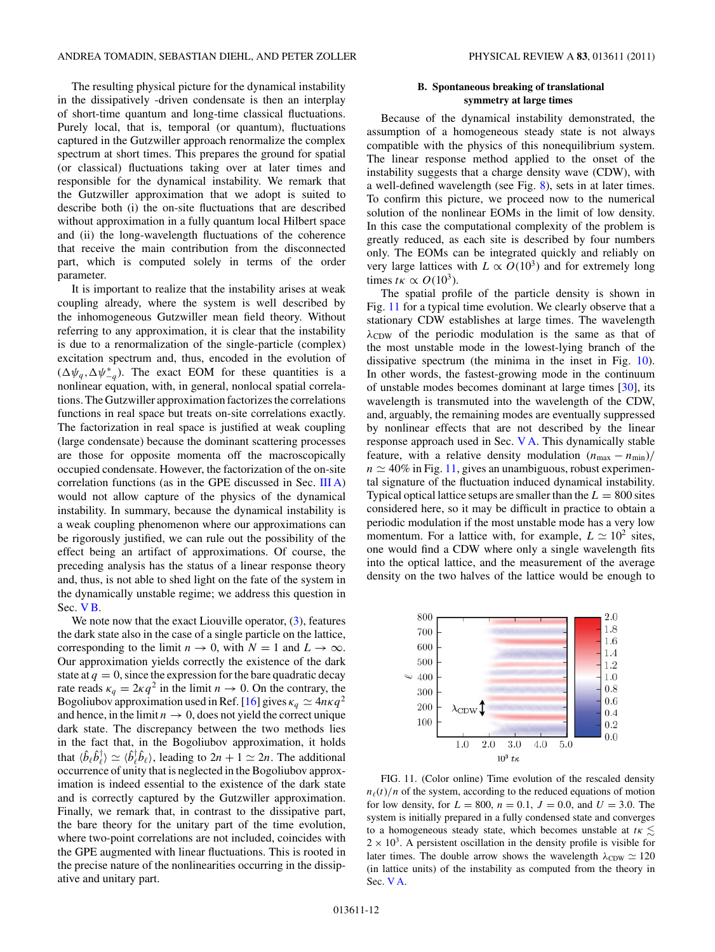<span id="page-11-0"></span>The resulting physical picture for the dynamical instability in the dissipatively -driven condensate is then an interplay of short-time quantum and long-time classical fluctuations. Purely local, that is, temporal (or quantum), fluctuations captured in the Gutzwiller approach renormalize the complex spectrum at short times. This prepares the ground for spatial (or classical) fluctuations taking over at later times and responsible for the dynamical instability. We remark that the Gutzwiller approximation that we adopt is suited to describe both (i) the on-site fluctuations that are described without approximation in a fully quantum local Hilbert space and (ii) the long-wavelength fluctuations of the coherence that receive the main contribution from the disconnected part, which is computed solely in terms of the order parameter.

It is important to realize that the instability arises at weak coupling already, where the system is well described by the inhomogeneous Gutzwiller mean field theory. Without referring to any approximation, it is clear that the instability is due to a renormalization of the single-particle (complex) excitation spectrum and, thus, encoded in the evolution of  $(\Delta \psi_q, \Delta \psi_{-q}^*)$ . The exact EOM for these quantities is a nonlinear equation, with, in general, nonlocal spatial correlations. The Gutzwiller approximation factorizes the correlations functions in real space but treats on-site correlations exactly. The factorization in real space is justified at weak coupling (large condensate) because the dominant scattering processes are those for opposite momenta off the macroscopically occupied condensate. However, the factorization of the on-site correlation functions (as in the GPE discussed in Sec. [III A\)](#page-4-0) would not allow capture of the physics of the dynamical instability. In summary, because the dynamical instability is a weak coupling phenomenon where our approximations can be rigorously justified, we can rule out the possibility of the effect being an artifact of approximations. Of course, the preceding analysis has the status of a linear response theory and, thus, is not able to shed light on the fate of the system in the dynamically unstable regime; we address this question in Sec. V<sub>B</sub>.

We note now that the exact Liouville operator,  $(3)$ , features the dark state also in the case of a single particle on the lattice, corresponding to the limit  $n \to 0$ , with  $N = 1$  and  $L \to \infty$ . Our approximation yields correctly the existence of the dark state at  $q = 0$ , since the expression for the bare quadratic decay rate reads  $\kappa_q = 2\kappa q^2$  in the limit  $n \to 0$ . On the contrary, the Bogoliubov approximation used in Ref. [\[16\]](#page-19-0) gives  $\kappa_q \simeq 4n\kappa q^2$ and hence, in the limit  $n \to 0$ , does not yield the correct unique dark state. The discrepancy between the two methods lies in the fact that, in the Bogoliubov approximation, it holds that  $\langle \hat{b}_{\ell} \hat{b}_{\ell}^{\dagger} \rangle \simeq \langle \hat{b}_{\ell}^{\dagger} \hat{b}_{\ell} \rangle$ , leading to  $2n + 1 \simeq 2n$ . The additional occurrence of unity that is neglected in the Bogoliubov approximation is indeed essential to the existence of the dark state and is correctly captured by the Gutzwiller approximation. Finally, we remark that, in contrast to the dissipative part, the bare theory for the unitary part of the time evolution, where two-point correlations are not included, coincides with the GPE augmented with linear fluctuations. This is rooted in the precise nature of the nonlinearities occurring in the dissipative and unitary part.

### **B. Spontaneous breaking of translational symmetry at large times**

Because of the dynamical instability demonstrated, the assumption of a homogeneous steady state is not always compatible with the physics of this nonequilibrium system. The linear response method applied to the onset of the instability suggests that a charge density wave (CDW), with a well-defined wavelength (see Fig. [8\)](#page-8-0), sets in at later times. To confirm this picture, we proceed now to the numerical solution of the nonlinear EOMs in the limit of low density. In this case the computational complexity of the problem is greatly reduced, as each site is described by four numbers only. The EOMs can be integrated quickly and reliably on very large lattices with  $L \propto O(10^3)$  and for extremely long times  $t \kappa \propto O(10^3)$ .

The spatial profile of the particle density is shown in Fig. 11 for a typical time evolution. We clearly observe that a stationary CDW establishes at large times. The wavelength *λ*CDW of the periodic modulation is the same as that of the most unstable mode in the lowest-lying branch of the dissipative spectrum (the minima in the inset in Fig. [10\)](#page-10-0). In other words, the fastest-growing mode in the continuum of unstable modes becomes dominant at large times [\[30\]](#page-19-0), its wavelength is transmuted into the wavelength of the CDW, and, arguably, the remaining modes are eventually suppressed by nonlinear effects that are not described by the linear response approach used in Sec. [V A.](#page-9-0) This dynamically stable feature, with a relative density modulation  $(n_{\text{max}} - n_{\text{min}})/$  $n \approx 40\%$  in Fig. 11, gives an unambiguous, robust experimental signature of the fluctuation induced dynamical instability. Typical optical lattice setups are smaller than the  $L = 800$  sites considered here, so it may be difficult in practice to obtain a periodic modulation if the most unstable mode has a very low momentum. For a lattice with, for example,  $L \simeq 10^2$  sites, one would find a CDW where only a single wavelength fits into the optical lattice, and the measurement of the average density on the two halves of the lattice would be enough to



FIG. 11. (Color online) Time evolution of the rescaled density  $n_{\ell}(t)/n$  of the system, according to the reduced equations of motion for low density, for  $L = 800$ ,  $n = 0.1$ ,  $J = 0.0$ , and  $U = 3.0$ . The system is initially prepared in a fully condensed state and converges to a homogeneous steady state, which becomes unstable at  $t\kappa \lesssim$  $2 \times 10^3$ . A persistent oscillation in the density profile is visible for later times. The double arrow shows the wavelength  $\lambda_{CDW} \simeq 120$ (in lattice units) of the instability as computed from the theory in Sec. [V A.](#page-9-0)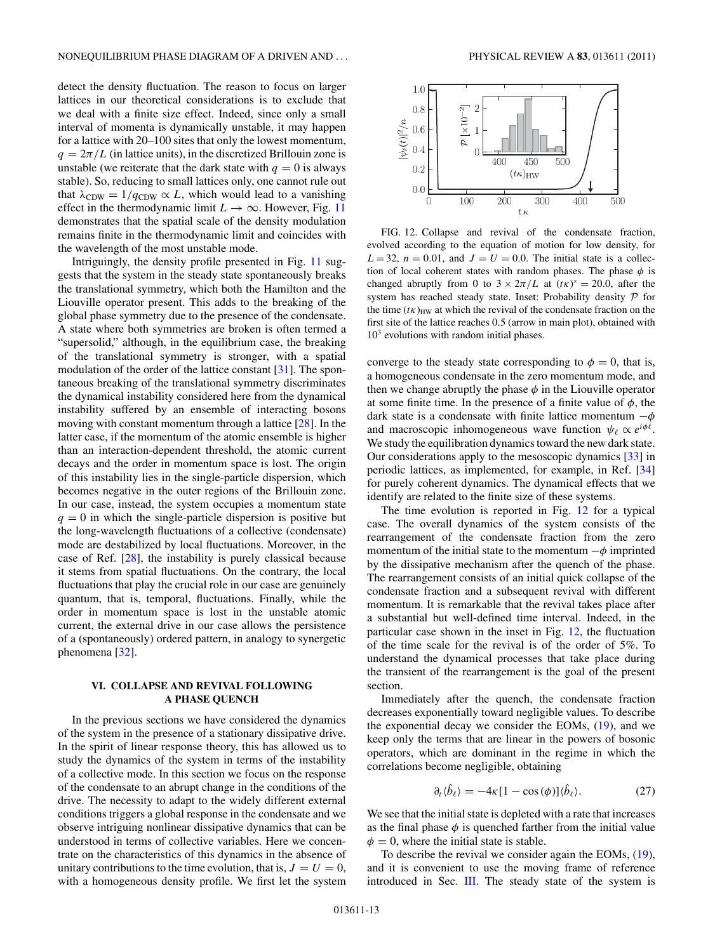<span id="page-12-0"></span>detect the density fluctuation. The reason to focus on larger lattices in our theoretical considerations is to exclude that we deal with a finite size effect. Indeed, since only a small interval of momenta is dynamically unstable, it may happen for a lattice with 20–100 sites that only the lowest momentum,  $q = 2\pi/L$  (in lattice units), in the discretized Brillouin zone is unstable (we reiterate that the dark state with  $q = 0$  is always stable). So, reducing to small lattices only, one cannot rule out that  $\lambda_{CDW} = 1/q_{CDW} \propto L$ , which would lead to a vanishing effect in the thermodynamic limit  $L \rightarrow \infty$ . However, Fig. [11](#page-11-0) demonstrates that the spatial scale of the density modulation remains finite in the thermodynamic limit and coincides with the wavelength of the most unstable mode.

Intriguingly, the density profile presented in Fig. [11](#page-11-0) suggests that the system in the steady state spontaneously breaks the translational symmetry, which both the Hamilton and the Liouville operator present. This adds to the breaking of the global phase symmetry due to the presence of the condensate. A state where both symmetries are broken is often termed a "supersolid," although, in the equilibrium case, the breaking of the translational symmetry is stronger, with a spatial modulation of the order of the lattice constant [\[31\]](#page-19-0). The spontaneous breaking of the translational symmetry discriminates the dynamical instability considered here from the dynamical instability suffered by an ensemble of interacting bosons moving with constant momentum through a lattice [\[28\]](#page-19-0). In the latter case, if the momentum of the atomic ensemble is higher than an interaction-dependent threshold, the atomic current decays and the order in momentum space is lost. The origin of this instability lies in the single-particle dispersion, which becomes negative in the outer regions of the Brillouin zone. In our case, instead, the system occupies a momentum state  $q = 0$  in which the single-particle dispersion is positive but the long-wavelength fluctuations of a collective (condensate) mode are destabilized by local fluctuations. Moreover, in the case of Ref. [\[28\]](#page-19-0), the instability is purely classical because it stems from spatial fluctuations. On the contrary, the local fluctuations that play the crucial role in our case are genuinely quantum, that is, temporal, fluctuations. Finally, while the order in momentum space is lost in the unstable atomic current, the external drive in our case allows the persistence of a (spontaneously) ordered pattern, in analogy to synergetic phenomena [\[32\]](#page-19-0).

# **VI. COLLAPSE AND REVIVAL FOLLOWING A PHASE QUENCH**

In the previous sections we have considered the dynamics of the system in the presence of a stationary dissipative drive. In the spirit of linear response theory, this has allowed us to study the dynamics of the system in terms of the instability of a collective mode. In this section we focus on the response of the condensate to an abrupt change in the conditions of the drive. The necessity to adapt to the widely different external conditions triggers a global response in the condensate and we observe intriguing nonlinear dissipative dynamics that can be understood in terms of collective variables. Here we concentrate on the characteristics of this dynamics in the absence of unitary contributions to the time evolution, that is,  $J = U = 0$ , with a homogeneous density profile. We first let the system



FIG. 12. Collapse and revival of the condensate fraction, evolved according to the equation of motion for low density, for  $L = 32$ ,  $n = 0.01$ , and  $J = U = 0.0$ . The initial state is a collection of local coherent states with random phases. The phase  $\phi$  is changed abruptly from 0 to  $3 \times 2\pi/L$  at  $(t\kappa)^* = 20.0$ , after the system has reached steady state. Inset: Probability density  $P$  for the time  $(t\kappa)_{HW}$  at which the revival of the condensate fraction on the first site of the lattice reaches 0*.*5 (arrow in main plot), obtained with  $10<sup>3</sup>$  evolutions with random initial phases.

converge to the steady state corresponding to  $\phi = 0$ , that is, a homogeneous condensate in the zero momentum mode, and then we change abruptly the phase  $\phi$  in the Liouville operator at some finite time. In the presence of a finite value of  $\phi$ , the dark state is a condensate with finite lattice momentum −*φ* and macroscopic inhomogeneous wave function  $\psi_{\ell} \propto e^{i\phi_{\ell}}$ . We study the equilibration dynamics toward the new dark state. Our considerations apply to the mesoscopic dynamics [\[33\]](#page-19-0) in periodic lattices, as implemented, for example, in Ref. [\[34\]](#page-19-0) for purely coherent dynamics. The dynamical effects that we identify are related to the finite size of these systems.

The time evolution is reported in Fig. 12 for a typical case. The overall dynamics of the system consists of the rearrangement of the condensate fraction from the zero momentum of the initial state to the momentum  $-\phi$  imprinted by the dissipative mechanism after the quench of the phase. The rearrangement consists of an initial quick collapse of the condensate fraction and a subsequent revival with different momentum. It is remarkable that the revival takes place after a substantial but well-defined time interval. Indeed, in the particular case shown in the inset in Fig. 12, the fluctuation of the time scale for the revival is of the order of 5%. To understand the dynamical processes that take place during the transient of the rearrangement is the goal of the present section.

Immediately after the quench, the condensate fraction decreases exponentially toward negligible values. To describe the exponential decay we consider the EOMs, [\(19\)](#page-9-0), and we keep only the terms that are linear in the powers of bosonic operators, which are dominant in the regime in which the correlations become negligible, obtaining

$$
\partial_t \langle \hat{b}_\ell \rangle = -4\kappa [1 - \cos(\phi)] \langle \hat{b}_\ell \rangle. \tag{27}
$$

We see that the initial state is depleted with a rate that increases as the final phase  $\phi$  is quenched farther from the initial value  $\phi = 0$ , where the initial state is stable.

To describe the revival we consider again the EOMs, [\(19\)](#page-9-0), and it is convenient to use the moving frame of reference introduced in Sec. [III.](#page-3-0) The steady state of the system is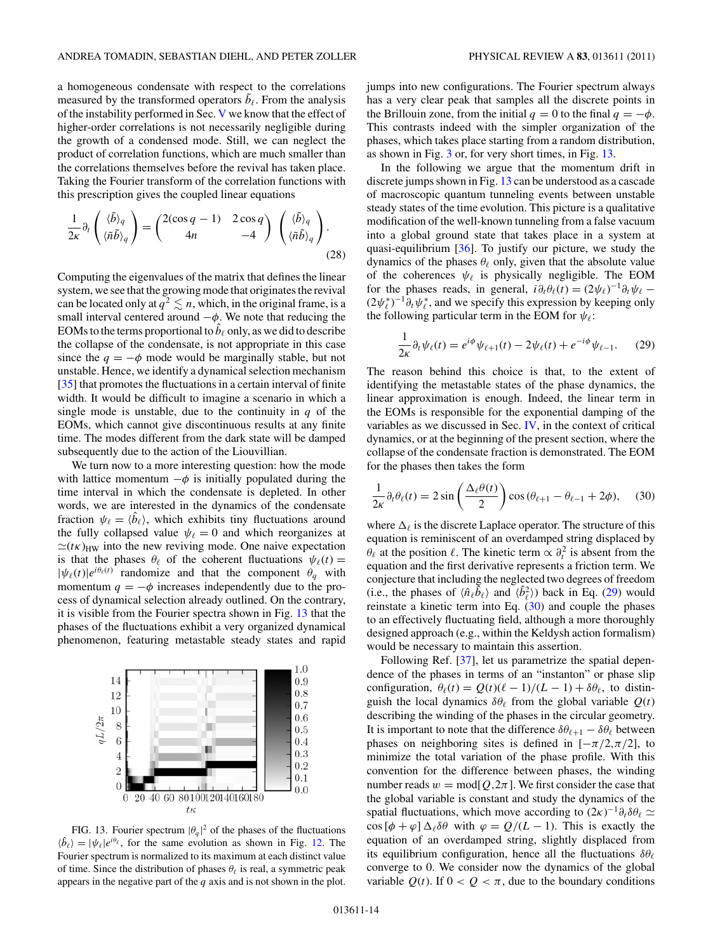<span id="page-13-0"></span>a homogeneous condensate with respect to the correlations measured by the transformed operators  $\tilde{b}_{\ell}$ . From the analysis of the instability performed in Sec. [V](#page-9-0) we know that the effect of higher-order correlations is not necessarily negligible during the growth of a condensed mode. Still, we can neglect the product of correlation functions, which are much smaller than the correlations themselves before the revival has taken place. Taking the Fourier transform of the correlation functions with this prescription gives the coupled linear equations

$$
\frac{1}{2\kappa}\partial_t \begin{pmatrix} \langle \tilde{b} \rangle_q \\ \langle \tilde{n} \tilde{b} \rangle_q \end{pmatrix} = \begin{pmatrix} 2(\cos q - 1) & 2\cos q \\ 4n & -4 \end{pmatrix} \begin{pmatrix} \langle \tilde{b} \rangle_q \\ \langle \tilde{n} \tilde{b} \rangle_q \end{pmatrix}.
$$
\n(28)

Computing the eigenvalues of the matrix that defines the linear system, we see that the growing mode that originates the revival can be located only at  $q^2 \lesssim n$ , which, in the original frame, is a small interval centered around −*φ*. We note that reducing the EOMs to the terms proportional to  $\hat{b}_\ell$  only, as we did to describe the collapse of the condensate, is not appropriate in this case since the  $q = -\phi$  mode would be marginally stable, but not unstable. Hence, we identify a dynamical selection mechanism [\[35\]](#page-19-0) that promotes the fluctuations in a certain interval of finite width. It would be difficult to imagine a scenario in which a single mode is unstable, due to the continuity in *q* of the EOMs, which cannot give discontinuous results at any finite time. The modes different from the dark state will be damped subsequently due to the action of the Liouvillian.

We turn now to a more interesting question: how the mode with lattice momentum  $-\phi$  is initially populated during the time interval in which the condensate is depleted. In other words, we are interested in the dynamics of the condensate fraction  $\psi_{\ell} = \langle \hat{b}_{\ell} \rangle$ , which exhibits tiny fluctuations around the fully collapsed value  $\psi_{\ell} = 0$  and which reorganizes at  $\approx$ ( $t\kappa$ )<sub>HW</sub> into the new reviving mode. One naive expectation is that the phases  $\theta_{\ell}$  of the coherent fluctuations  $\psi_{\ell}(t) =$  $|\psi_{\ell}(t)|e^{i\theta_{\ell}(t)}$  randomize and that the component  $\theta_q$  with momentum  $q = -\phi$  increases independently due to the process of dynamical selection already outlined. On the contrary, it is visible from the Fourier spectra shown in Fig. 13 that the phases of the fluctuations exhibit a very organized dynamical phenomenon, featuring metastable steady states and rapid



FIG. 13. Fourier spectrum  $|\theta_q|^2$  of the phases of the fluctuations  $\langle \hat{b}_\ell \rangle = |\psi_\ell| e^{i\theta_\ell}$ , for the same evolution as shown in Fig. [12.](#page-12-0) The Fourier spectrum is normalized to its maximum at each distinct value of time. Since the distribution of phases  $\theta_{\ell}$  is real, a symmetric peak appears in the negative part of the *q* axis and is not shown in the plot.

jumps into new configurations. The Fourier spectrum always has a very clear peak that samples all the discrete points in the Brillouin zone, from the initial  $q = 0$  to the final  $q = -\phi$ . This contrasts indeed with the simpler organization of the phases, which takes place starting from a random distribution, as shown in Fig. [3](#page-5-0) or, for very short times, in Fig. 13.

In the following we argue that the momentum drift in discrete jumps shown in Fig. 13 can be understood as a cascade of macroscopic quantum tunneling events between unstable steady states of the time evolution. This picture is a qualitative modification of the well-known tunneling from a false vacuum into a global ground state that takes place in a system at quasi-equilibrium [\[36\]](#page-19-0). To justify our picture, we study the dynamics of the phases  $\theta_{\ell}$  only, given that the absolute value of the coherences  $\psi_{\ell}$  is physically negligible. The EOM for the phases reads, in general,  $i\partial_t \theta_\ell(t) = (2\psi_\ell)^{-1} \partial_t \psi_\ell$  –  $(2\psi_{\ell}^*)^{-1}\partial_t\psi_{\ell}^*$ , and we specify this expression by keeping only the following particular term in the EOM for  $\psi_{\ell}$ :

$$
\frac{1}{2\kappa}\partial_t\psi_\ell(t) = e^{i\phi}\psi_{\ell+1}(t) - 2\psi_\ell(t) + e^{-i\phi}\psi_{\ell-1}.\tag{29}
$$

The reason behind this choice is that, to the extent of identifying the metastable states of the phase dynamics, the linear approximation is enough. Indeed, the linear term in the EOMs is responsible for the exponential damping of the variables as we discussed in Sec. [IV,](#page-8-0) in the context of critical dynamics, or at the beginning of the present section, where the collapse of the condensate fraction is demonstrated. The EOM for the phases then takes the form

$$
\frac{1}{2\kappa}\partial_t\theta_\ell(t) = 2\sin\left(\frac{\Delta_\ell\theta(t)}{2}\right)\cos\left(\theta_{\ell+1} - \theta_{\ell-1} + 2\phi\right),\tag{30}
$$

where  $\Delta_{\ell}$  is the discrete Laplace operator. The structure of this equation is reminiscent of an overdamped string displaced by *θ*<sub> $\ell$ </sub> at the position  $\ell$ . The kinetic term  $\propto \partial_t^2$  is absent from the equation and the first derivative represents a friction term. We conjecture that including the neglected two degrees of freedom (i.e., the phases of  $\langle \hat{n}_{\ell} \tilde{b}_{\ell} \rangle$  and  $\langle \hat{b}_{\ell}^2 \rangle$ ) back in Eq. (29) would reinstate a kinetic term into Eq. (30) and couple the phases to an effectively fluctuating field, although a more thoroughly designed approach (e.g., within the Keldysh action formalism) would be necessary to maintain this assertion.

Following Ref. [\[37\]](#page-19-0), let us parametrize the spatial dependence of the phases in terms of an "instanton" or phase slip configuration,  $\theta_{\ell}(t) = Q(t)(\ell - 1)/(L - 1) + \delta\theta_{\ell}$ , to distinguish the local dynamics  $\delta \theta_{\ell}$  from the global variable  $Q(t)$ describing the winding of the phases in the circular geometry. It is important to note that the difference  $\delta\theta_{\ell+1} - \delta\theta_{\ell}$  between phases on neighboring sites is defined in  $[-\pi/2, \pi/2]$ , to minimize the total variation of the phase profile. With this convention for the difference between phases, the winding number reads  $w = \text{mod}[Q, 2\pi]$ . We first consider the case that the global variable is constant and study the dynamics of the spatial fluctuations, which move according to  $(2\kappa)^{-1} \partial_t \delta \theta_\ell \simeq$ cos  $[\phi + \varphi] \Delta_{\ell} \delta \theta$  with  $\varphi = Q/(L - 1)$ . This is exactly the equation of an overdamped string, slightly displaced from its equilibrium configuration, hence all the fluctuations  $\delta\theta_{\ell}$ converge to 0. We consider now the dynamics of the global variable  $Q(t)$ . If  $0 < Q < \pi$ , due to the boundary conditions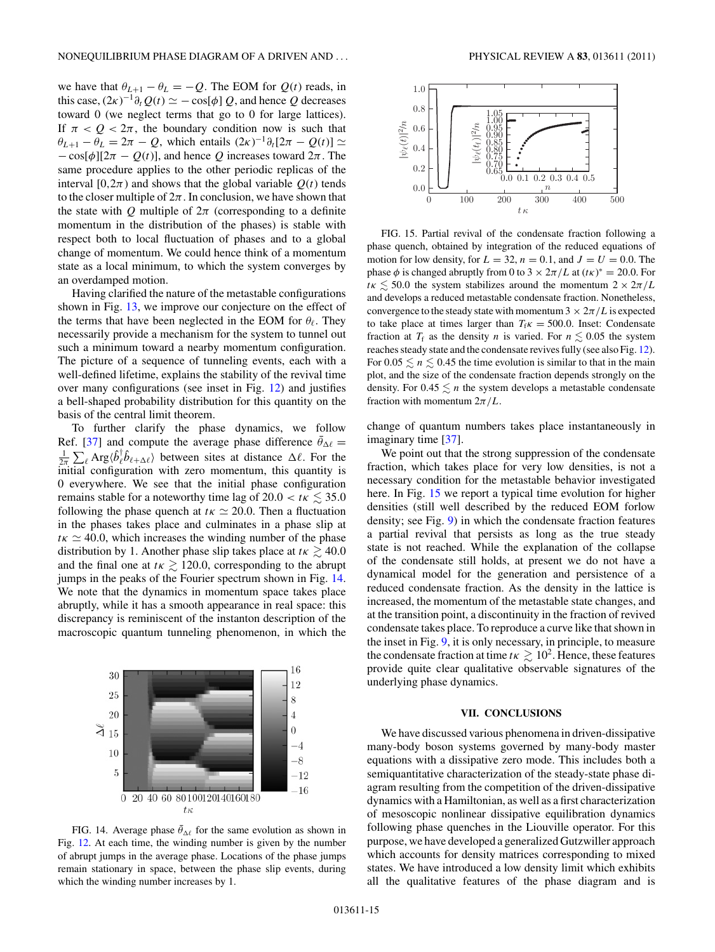<span id="page-14-0"></span>we have that  $\theta_{L+1} - \theta_L = -Q$ . The EOM for  $Q(t)$  reads, in this case,  $(2\kappa)^{-1}\partial_tQ(t) \simeq -\cos[\phi]Q$ , and hence  $Q$  decreases toward 0 (we neglect terms that go to 0 for large lattices). If  $\pi < Q < 2\pi$ , the boundary condition now is such that  $\theta_{L+1} - \theta_L = 2\pi - Q$ , which entails  $(2\kappa)^{-1}\partial_t[2\pi - Q(t)] \simeq$  $-\cos[\phi][2\pi - Q(t)]$ , and hence *Q* increases toward  $2\pi$ . The same procedure applies to the other periodic replicas of the interval  $[0, 2\pi)$  and shows that the global variable  $Q(t)$  tends to the closer multiple of  $2\pi$ . In conclusion, we have shown that the state with  $Q$  multiple of  $2\pi$  (corresponding to a definite momentum in the distribution of the phases) is stable with respect both to local fluctuation of phases and to a global change of momentum. We could hence think of a momentum state as a local minimum, to which the system converges by an overdamped motion.

Having clarified the nature of the metastable configurations shown in Fig. [13,](#page-13-0) we improve our conjecture on the effect of the terms that have been neglected in the EOM for  $\theta_{\ell}$ . They necessarily provide a mechanism for the system to tunnel out such a minimum toward a nearby momentum configuration. The picture of a sequence of tunneling events, each with a well-defined lifetime, explains the stability of the revival time over many configurations (see inset in Fig. [12\)](#page-12-0) and justifies a bell-shaped probability distribution for this quantity on the basis of the central limit theorem.

To further clarify the phase dynamics, we follow Ref. [\[37\]](#page-19-0) and compute the average phase difference  $\bar{\theta}_{\Delta\ell} =$  $\frac{1}{2\pi} \sum_{\ell} \text{Arg} \langle \hat{b}_{\ell}^{\dagger} \hat{b}_{\ell+\Delta \ell} \rangle$  between sites at distance  $\Delta \ell$ . For the initial configuration with zero momentum, this quantity is 0 everywhere. We see that the initial phase configuration remains stable for a noteworthy time lag of 20.0  $<$   $t\kappa \lesssim$  35.0 following the phase quench at  $t \kappa \simeq 20.0$ . Then a fluctuation in the phases takes place and culminates in a phase slip at  $t\kappa \simeq 40.0$ , which increases the winding number of the phase distribution by 1. Another phase slip takes place at  $t \kappa \gtrsim 40.0$ and the final one at  $t \kappa \gtrsim 120.0$ , corresponding to the abrupt jumps in the peaks of the Fourier spectrum shown in Fig. 14. We note that the dynamics in momentum space takes place abruptly, while it has a smooth appearance in real space: this discrepancy is reminiscent of the instanton description of the macroscopic quantum tunneling phenomenon, in which the



FIG. 14. Average phase  $\bar{\theta}_{\Delta\ell}$  for the same evolution as shown in Fig. [12.](#page-12-0) At each time, the winding number is given by the number of abrupt jumps in the average phase. Locations of the phase jumps remain stationary in space, between the phase slip events, during which the winding number increases by 1.



FIG. 15. Partial revival of the condensate fraction following a phase quench, obtained by integration of the reduced equations of motion for low density, for  $L = 32$ ,  $n = 0.1$ , and  $J = U = 0.0$ . The phase  $\phi$  is changed abruptly from 0 to 3  $\times$  2 $\pi/L$  at ( $t\kappa$ )\* = 20.0. For  $t\kappa \lesssim 50.0$  the system stabilizes around the momentum  $2 \times 2\pi/L$ and develops a reduced metastable condensate fraction. Nonetheless, convergence to the steady state with momentum  $3 \times 2\pi/L$  is expected to take place at times larger than  $T_f \kappa = 500.0$ . Inset: Condensate fraction at  $T_f$  as the density *n* is varied. For  $n \lesssim 0.05$  the system reaches steady state and the condensate revives fully (see also Fig. [12\)](#page-12-0). For  $0.05 \lesssim n \lesssim 0.45$  the time evolution is similar to that in the main plot, and the size of the condensate fraction depends strongly on the density. For  $0.45 \lesssim n$  the system develops a metastable condensate fraction with momentum 2*π/L*.

change of quantum numbers takes place instantaneously in imaginary time [\[37\]](#page-19-0).

We point out that the strong suppression of the condensate fraction, which takes place for very low densities, is not a necessary condition for the metastable behavior investigated here. In Fig. 15 we report a typical time evolution for higher densities (still well described by the reduced EOM forlow density; see Fig. [9\)](#page-8-0) in which the condensate fraction features a partial revival that persists as long as the true steady state is not reached. While the explanation of the collapse of the condensate still holds, at present we do not have a dynamical model for the generation and persistence of a reduced condensate fraction. As the density in the lattice is increased, the momentum of the metastable state changes, and at the transition point, a discontinuity in the fraction of revived condensate takes place. To reproduce a curve like that shown in the inset in Fig. [9,](#page-8-0) it is only necessary, in principle, to measure the condensate fraction at time  $t \kappa \gtrsim 10^2$ . Hence, these features provide quite clear qualitative observable signatures of the underlying phase dynamics.

## **VII. CONCLUSIONS**

We have discussed various phenomena in driven-dissipative many-body boson systems governed by many-body master equations with a dissipative zero mode. This includes both a semiquantitative characterization of the steady-state phase diagram resulting from the competition of the driven-dissipative dynamics with a Hamiltonian, as well as a first characterization of mesoscopic nonlinear dissipative equilibration dynamics following phase quenches in the Liouville operator. For this purpose, we have developed a generalized Gutzwiller approach which accounts for density matrices corresponding to mixed states. We have introduced a low density limit which exhibits all the qualitative features of the phase diagram and is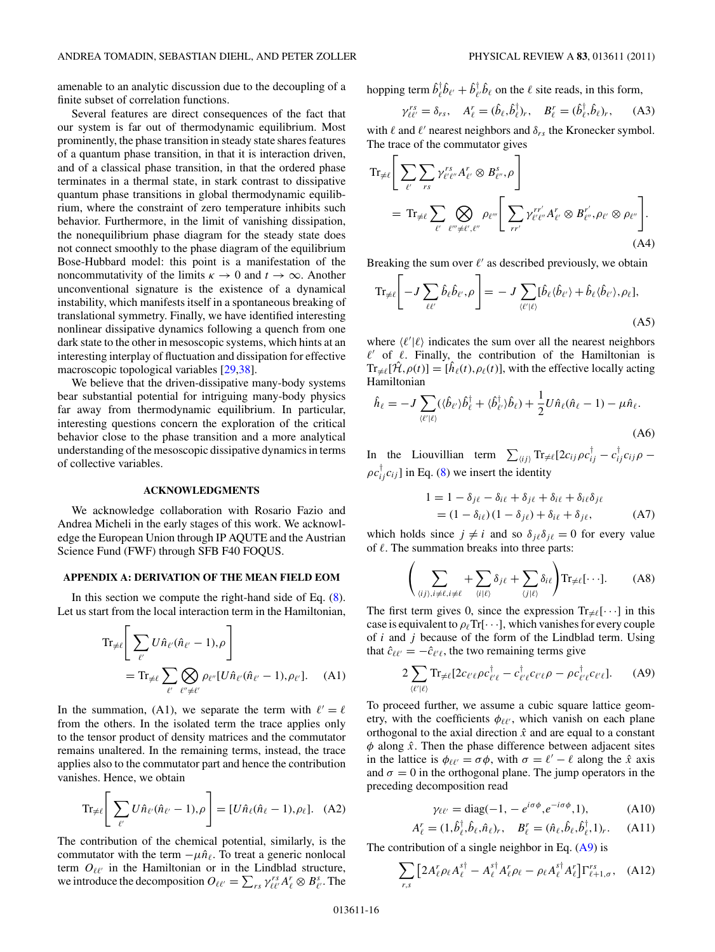<span id="page-15-0"></span>amenable to an analytic discussion due to the decoupling of a finite subset of correlation functions.

Several features are direct consequences of the fact that our system is far out of thermodynamic equilibrium. Most prominently, the phase transition in steady state shares features of a quantum phase transition, in that it is interaction driven, and of a classical phase transition, in that the ordered phase terminates in a thermal state, in stark contrast to dissipative quantum phase transitions in global thermodynamic equilibrium, where the constraint of zero temperature inhibits such behavior. Furthermore, in the limit of vanishing dissipation, the nonequilibrium phase diagram for the steady state does not connect smoothly to the phase diagram of the equilibrium Bose-Hubbard model: this point is a manifestation of the noncommutativity of the limits  $\kappa \to 0$  and  $t \to \infty$ . Another unconventional signature is the existence of a dynamical instability, which manifests itself in a spontaneous breaking of translational symmetry. Finally, we have identified interesting nonlinear dissipative dynamics following a quench from one dark state to the other in mesoscopic systems, which hints at an interesting interplay of fluctuation and dissipation for effective macroscopic topological variables [\[29,38\]](#page-19-0).

We believe that the driven-dissipative many-body systems bear substantial potential for intriguing many-body physics far away from thermodynamic equilibrium. In particular, interesting questions concern the exploration of the critical behavior close to the phase transition and a more analytical understanding of the mesoscopic dissipative dynamics in terms of collective variables.

#### **ACKNOWLEDGMENTS**

We acknowledge collaboration with Rosario Fazio and Andrea Micheli in the early stages of this work. We acknowledge the European Union through IP AQUTE and the Austrian Science Fund (FWF) through SFB F40 FOQUS.

### **APPENDIX A: DERIVATION OF THE MEAN FIELD EOM**

In this section we compute the right-hand side of Eq.  $(8)$ . Let us start from the local interaction term in the Hamiltonian,

$$
\mathrm{Tr}_{\neq \ell} \Bigg[ \sum_{\ell'} U \hat{n}_{\ell'} (\hat{n}_{\ell'} - 1), \rho \Bigg]
$$
  
=  $\mathrm{Tr}_{\neq \ell} \sum_{\ell'} \bigotimes_{\ell'' \neq \ell'} \rho_{\ell''} [U \hat{n}_{\ell'} (\hat{n}_{\ell'} - 1), \rho_{\ell'}].$  (A1)

In the summation, (A1), we separate the term with  $\ell' = \ell$ from the others. In the isolated term the trace applies only to the tensor product of density matrices and the commutator remains unaltered. In the remaining terms, instead, the trace applies also to the commutator part and hence the contribution vanishes. Hence, we obtain

$$
\operatorname{Tr}_{\neq \ell} \left[ \sum_{\ell'} U \hat{n}_{\ell'} (\hat{n}_{\ell'} - 1), \rho \right] = [U \hat{n}_{\ell} (\hat{n}_{\ell} - 1), \rho_{\ell}]. \quad (A2)
$$

The contribution of the chemical potential, similarly, is the commutator with the term  $-\mu \hat{n}_{\ell}$ . To treat a generic nonlocal term  $O_{\ell\ell'}$  in the Hamiltonian or in the Lindblad structure, we introduce the decomposition  $O_{\ell\ell'} = \sum_{rs} \gamma_{\ell\ell'}^{rs} A_{\ell}^r \otimes B_{\ell'}^s$ . The

hopping term  $\hat{b}_{\ell}^{\dagger} \hat{b}_{\ell'} + \hat{b}_{\ell'}^{\dagger} \hat{b}_{\ell}$  on the  $\ell$  site reads, in this form,

$$
\gamma_{\ell\ell'}^{rs} = \delta_{rs}, \quad A_{\ell}^r = (\hat{b}_{\ell}, \hat{b}_{\ell}^{\dagger})_r, \quad B_{\ell}^r = (\hat{b}_{\ell}^{\dagger}, \hat{b}_{\ell})_r, \quad (A3)
$$

with  $\ell$  and  $\ell'$  nearest neighbors and  $\delta_{rs}$  the Kronecker symbol. The trace of the commutator gives

$$
Tr_{\neq \ell} \Bigg[ \sum_{\ell'} \sum_{rs} \gamma_{\ell'\ell''}^{rs} A_{\ell'}^r \otimes B_{\ell''}^s, \rho \Bigg]
$$
  
= 
$$
Tr_{\neq \ell} \sum_{\ell'} \bigotimes_{\ell'''\neq \ell',\ell''} \rho_{\ell'''} \Bigg[ \sum_{rr'} \gamma_{\ell'\ell''}^{rr'} A_{\ell'}^r \otimes B_{\ell''}^{r'}, \rho_{\ell'} \otimes \rho_{\ell''} \Bigg].
$$
 (A4)

Breaking the sum over  $\ell'$  as described previously, we obtain

$$
\operatorname{Tr}_{\neq \ell} \left[ -J \sum_{\ell \ell'} \hat{b}_{\ell} \hat{b}_{\ell'}, \rho \right] = -J \sum_{\langle \ell' | \ell \rangle} [\hat{b}_{\ell} \langle \hat{b}_{\ell'} \rangle + \hat{b}_{\ell} \langle \hat{b}_{\ell'} \rangle, \rho_{\ell}],
$$
\n(A5)

where  $\langle \ell' | \ell \rangle$  indicates the sum over all the nearest neighbors  $\ell'$  of  $\ell$ . Finally, the contribution of the Hamiltonian is  $Tr_{\neq \ell}[\hat{\mathcal{H}}, \rho(t)] = [\hat{h}_{\ell}(t), \rho_{\ell}(t)]$ , with the effective locally acting Hamiltonian

$$
\hat{h}_{\ell} = -J \sum_{\langle \ell' | \ell \rangle} (\langle \hat{b}_{\ell'} \rangle \hat{b}_{\ell}^{\dagger} + \langle \hat{b}_{\ell'}^{\dagger} \rangle \hat{b}_{\ell}) + \frac{1}{2} U \hat{n}_{\ell} (\hat{n}_{\ell} - 1) - \mu \hat{n}_{\ell}.
$$
\n(A6)

In the Liouvillian term  $\sum_{\langle ij \rangle} \text{Tr}_{\neq \ell} [2c_{ij}\rho c_{ij}^{\dagger} - c_{ij}^{\dagger} c_{ij}\rho \rho c_{ij}^{\dagger} c_{ij}$  ] in Eq. [\(8\)](#page-3-0) we insert the identity

$$
1 = 1 - \delta_{j\ell} - \delta_{i\ell} + \delta_{j\ell} + \delta_{i\ell} + \delta_{i\ell}\delta_{j\ell}
$$
  
= 
$$
(1 - \delta_{i\ell})(1 - \delta_{j\ell}) + \delta_{i\ell} + \delta_{j\ell},
$$
 (A7)

which holds since  $j \neq i$  and so  $\delta_{i\ell} \delta_{i\ell} = 0$  for every value of  $\ell$ . The summation breaks into three parts:

$$
\left(\sum_{\langle ij\rangle, i\neq\ell, i\neq\ell} + \sum_{\langle i|\ell\rangle} \delta_{j\ell} + \sum_{\langle j|\ell\rangle} \delta_{i\ell}\right) \mathrm{Tr}_{\neq\ell}[\cdot \cdot \cdot].\tag{A8}
$$

The first term gives 0, since the expression  $Tr_{\neq \ell}[\cdots]$  in this case is equivalent to  $\rho_\ell Tr[\cdots]$ , which vanishes for every couple of *i* and *j* because of the form of the Lindblad term. Using that  $\hat{c}_{\ell\ell'} = -\hat{c}_{\ell'\ell}$ , the two remaining terms give

$$
2\sum_{\langle\ell'\rangle\ell\rangle} \text{Tr}_{\neq\ell} [2c_{\ell'\ell}\rho c_{\ell'\ell}^{\dagger} - c_{\ell'\ell}^{\dagger} c_{\ell'\ell}\rho - \rho c_{\ell'\ell}^{\dagger} c_{\ell'\ell}]. \tag{A9}
$$

To proceed further, we assume a cubic square lattice geometry, with the coefficients  $\phi_{\ell\ell'}$ , which vanish on each plane orthogonal to the axial direction  $\hat{x}$  and are equal to a constant *φ* along *x*ˆ. Then the phase difference between adjacent sites in the lattice is  $\phi_{\ell\ell'} = \sigma \phi$ , with  $\sigma = \ell' - \ell$  along the  $\hat{x}$  axis and  $\sigma = 0$  in the orthogonal plane. The jump operators in the preceding decomposition read

$$
\gamma_{\ell\ell'} = \text{diag}(-1, -e^{i\sigma\phi}, e^{-i\sigma\phi}, 1), \quad (A10)
$$

$$
A_{\ell}^{r} = (1, \hat{b}_{\ell}^{\dagger}, \hat{b}_{\ell}, \hat{n}_{\ell})_{r}, \quad B_{\ell}^{r} = (\hat{n}_{\ell}, \hat{b}_{\ell}, \hat{b}_{\ell}^{\dagger}, 1)_{r}. \tag{A11}
$$

The contribution of a single neighbor in Eq.  $(A9)$  is

$$
\sum_{r,s} \left[ 2A_{\ell}^{r} \rho_{\ell} A_{\ell}^{s\dagger} - A_{\ell}^{s\dagger} A_{\ell}^{r} \rho_{\ell} - \rho_{\ell} A_{\ell}^{s\dagger} A_{\ell}^{r} \right] \Gamma_{\ell+1,\sigma}^{rs}, \quad (A12)
$$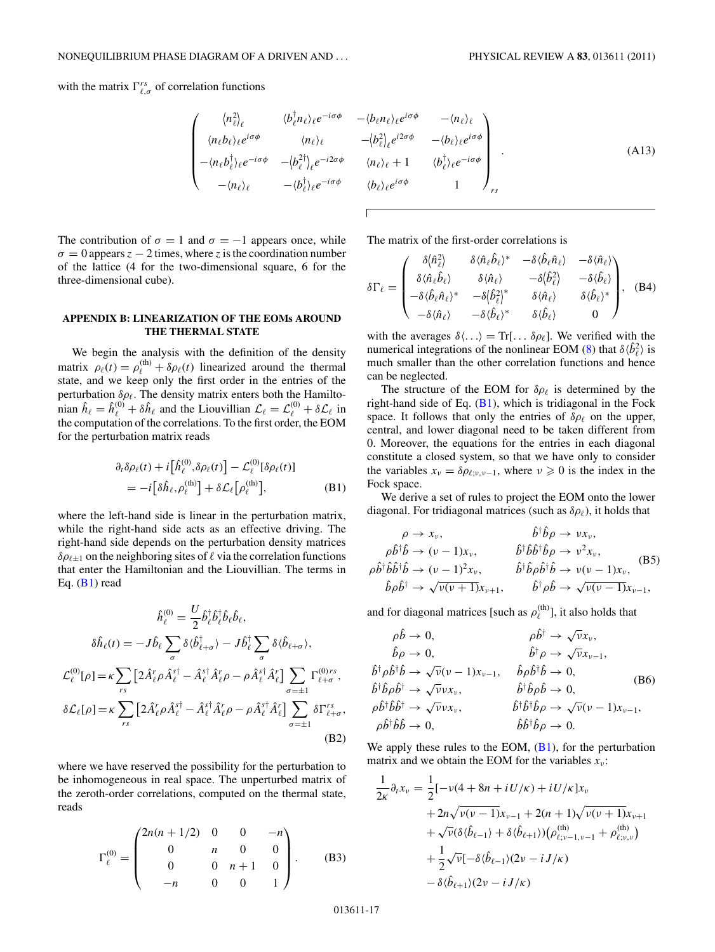<span id="page-16-0"></span>with the matrix  $\Gamma_{\ell,\sigma}^{rs}$  of correlation functions

$$
\begin{pmatrix}\n\langle n_{\ell}^{2} \rangle_{\ell} & \langle b_{\ell}^{\dagger} n_{\ell} \rangle_{\ell} e^{-i\sigma\phi} & -\langle b_{\ell} n_{\ell} \rangle_{\ell} e^{i\sigma\phi} & -\langle n_{\ell} \rangle_{\ell} \\
\langle n_{\ell} b_{\ell} \rangle_{\ell} e^{i\sigma\phi} & \langle n_{\ell} \rangle_{\ell} & -\langle b_{\ell}^{2} \rangle_{\ell} e^{i2\sigma\phi} & -\langle b_{\ell} \rangle_{\ell} e^{i\sigma\phi} \\
-\langle n_{\ell} b_{\ell}^{\dagger} \rangle_{\ell} e^{-i\sigma\phi} & -\langle b_{\ell}^{2} \rangle_{\ell} e^{-i2\sigma\phi} & \langle n_{\ell} \rangle_{\ell} + 1 & \langle b_{\ell}^{\dagger} \rangle_{\ell} e^{-i\sigma\phi} \\
-\langle n_{\ell} \rangle_{\ell} & -\langle b_{\ell}^{\dagger} \rangle_{\ell} e^{-i\sigma\phi} & \langle b_{\ell} \rangle_{\ell} e^{i\sigma\phi} & 1\n\end{pmatrix}_{rs}.
$$
\n(A13)

The contribution of  $\sigma = 1$  and  $\sigma = -1$  appears once, while  $\sigma = 0$  appears  $z - 2$  times, where *z* is the coordination number of the lattice (4 for the two-dimensional square, 6 for the three-dimensional cube).

# **APPENDIX B: LINEARIZATION OF THE EOMs AROUND THE THERMAL STATE**

We begin the analysis with the definition of the density matrix  $\rho_{\ell}(t) = \rho_{\ell}^{(th)} + \delta \rho_{\ell}(t)$  linearized around the thermal state, and we keep only the first order in the entries of the perturbation *δρ*. The density matrix enters both the Hamiltonian  $\hat{h}_{\ell} = \hat{h}_{\ell}^{(0)} + \delta \hat{h}_{\ell}$  and the Liouvillian  $\mathcal{L}_{\ell} = \mathcal{L}_{\ell}^{(0)} + \delta \mathcal{L}_{\ell}$  in the computation of the correlations. To the first order, the EOM for the perturbation matrix reads

$$
\partial_t \delta \rho_\ell(t) + i \left[ \hat{h}^{(0)}_\ell, \delta \rho_\ell(t) \right] - \mathcal{L}^{(0)}_\ell [\delta \rho_\ell(t)]
$$
  
= 
$$
-i \left[ \delta \hat{h}_\ell, \rho_\ell^{(\text{th})} \right] + \delta \mathcal{L}_\ell \left[ \rho_\ell^{(\text{th})} \right],
$$
 (B1)

where the left-hand side is linear in the perturbation matrix, while the right-hand side acts as an effective driving. The right-hand side depends on the perturbation density matrices  $\delta \rho_{\ell \pm 1}$  on the neighboring sites of  $\ell$  via the correlation functions that enter the Hamiltonian and the Liouvillian. The terms in Eq.  $(B1)$  read

$$
\hat{h}_{\ell}^{(0)} = \frac{U}{2} \hat{b}_{\ell}^{\dagger} \hat{b}_{\ell}^{\dagger} \hat{b}_{\ell} \hat{b}_{\ell},
$$
\n
$$
\delta \hat{h}_{\ell}(t) = -J \hat{b}_{\ell} \sum_{\sigma} \delta \langle \hat{b}_{\ell+\sigma}^{\dagger} \rangle - J \hat{b}_{\ell}^{\dagger} \sum_{\sigma} \delta \langle \hat{b}_{\ell+\sigma} \rangle,
$$
\n
$$
\mathcal{L}_{\ell}^{(0)}[\rho] = \kappa \sum_{rs} \left[ 2 \hat{A}_{\ell}^{r} \rho \hat{A}_{\ell}^{s\dagger} - \hat{A}_{\ell}^{s\dagger} \hat{A}_{\ell}^{r} \rho - \rho \hat{A}_{\ell}^{s\dagger} \hat{A}_{\ell}^{r} \right] \sum_{\sigma=\pm 1} \Gamma_{\ell+\sigma}^{(0)rs},
$$
\n
$$
\delta \mathcal{L}_{\ell}[\rho] = \kappa \sum_{rs} \left[ 2 \hat{A}_{\ell}^{r} \rho \hat{A}_{\ell}^{s\dagger} - \hat{A}_{\ell}^{s\dagger} \hat{A}_{\ell}^{r} \rho - \rho \hat{A}_{\ell}^{s\dagger} \hat{A}_{\ell}^{r} \right] \sum_{\sigma=\pm 1} \delta \Gamma_{\ell+\sigma}^{rs},
$$
\n(B2)

where we have reserved the possibility for the perturbation to be inhomogeneous in real space. The unperturbed matrix of the zeroth-order correlations, computed on the thermal state, reads

$$
\Gamma_{\ell}^{(0)} = \begin{pmatrix} 2n(n+1/2) & 0 & 0 & -n \\ 0 & n & 0 & 0 \\ 0 & 0 & n+1 & 0 \\ -n & 0 & 0 & 1 \end{pmatrix}.
$$
 (B3)

The matrix of the first-order correlations is

$$
\delta\Gamma_{\ell} = \begin{pmatrix}\n\delta\langle \hat{n}_{\ell}^{2} \rangle & \delta\langle \hat{n}_{\ell} \hat{b}_{\ell} \rangle^{*} & -\delta\langle \hat{b}_{\ell} \hat{n}_{\ell} \rangle & -\delta\langle \hat{n}_{\ell} \rangle \\
\delta\langle \hat{n}_{\ell} \hat{b}_{\ell} \rangle & \delta\langle \hat{n}_{\ell} \rangle & -\delta\langle \hat{b}_{\ell}^{2} \rangle & -\delta\langle \hat{b}_{\ell} \rangle \\
-\delta\langle \hat{b}_{\ell} \hat{n}_{\ell} \rangle^{*} & -\delta\langle \hat{b}_{\ell}^{2} \rangle^{*} & \delta\langle \hat{n}_{\ell} \rangle & \delta\langle \hat{b}_{\ell} \rangle^{*} \\
-\delta\langle \hat{n}_{\ell} \rangle & -\delta\langle \hat{b}_{\ell} \rangle^{*} & \delta\langle \hat{b}_{\ell} \rangle & 0\n\end{pmatrix}, \quad (B4)
$$

with the averages  $\delta \langle \ldots \rangle = \text{Tr}[\ldots \delta \rho_\ell]$ . We verified with the numerical integrations of the nonlinear EOM [\(8\)](#page-3-0) that  $\delta \langle \hat{b}_{\ell}^2 \rangle$  is much smaller than the other correlation functions and hence can be neglected.

The structure of the EOM for  $\delta \rho_{\ell}$  is determined by the right-hand side of Eq.  $(B1)$ , which is tridiagonal in the Fock space. It follows that only the entries of  $\delta \rho_{\ell}$  on the upper, central, and lower diagonal need to be taken different from 0. Moreover, the equations for the entries in each diagonal constitute a closed system, so that we have only to consider the variables  $x_v = \delta \rho_{\ell;v,v-1}$ , where  $v \ge 0$  is the index in the Fock space.

We derive a set of rules to project the EOM onto the lower diagonal. For tridiagonal matrices (such as  $\delta \rho_{\ell}$ ), it holds that

$$
\rho \to x_{\nu}, \qquad \hat{b}^{\dagger} \hat{b} \rho \to \nu x_{\nu}, \n\rho \hat{b}^{\dagger} \hat{b} \to (\nu - 1)x_{\nu}, \qquad \hat{b}^{\dagger} \hat{b} \hat{b}^{\dagger} \hat{b} \rho \to \nu^2 x_{\nu}, \n\rho \hat{b}^{\dagger} \hat{b} \hat{b}^{\dagger} \hat{b} \to (\nu - 1)^2 x_{\nu}, \qquad \hat{b}^{\dagger} \hat{b} \rho \hat{b}^{\dagger} \hat{b} \to \nu (\nu - 1)x_{\nu}, \n\hat{b} \rho \hat{b}^{\dagger} \to \sqrt{\nu (\nu + 1)} x_{\nu+1}, \qquad \hat{b}^{\dagger} \rho \hat{b} \to \sqrt{\nu (\nu - 1)} x_{\nu-1},
$$
\n(B5)

and for diagonal matrices [such as  $\rho_{\ell}^{(th)}$ ], it also holds that

$$
\rho \hat{b} \rightarrow 0, \qquad \rho \hat{b}^{\dagger} \rightarrow \sqrt{\nu} x_{\nu}, \n\hat{b} \rho \rightarrow 0, \qquad \hat{b}^{\dagger} \rho \rightarrow \sqrt{\nu} x_{\nu-1}, \n\hat{b}^{\dagger} \rho \hat{b}^{\dagger} \hat{b} \rightarrow \sqrt{\nu} (\nu - 1) x_{\nu-1}, \qquad \hat{b} \rho \hat{b}^{\dagger} \hat{b} \rightarrow 0, \n\hat{b}^{\dagger} \hat{b} \rho \hat{b}^{\dagger} \rightarrow \sqrt{\nu} \nu x_{\nu}, \qquad \hat{b}^{\dagger} \hat{b} \rho \hat{b} \rightarrow 0, \n\rho \hat{b}^{\dagger} \hat{b} \hat{b}^{\dagger} \rightarrow \sqrt{\nu} \nu x_{\nu}, \qquad \hat{b}^{\dagger} \hat{b}^{\dagger} \hat{b} \rho \rightarrow \sqrt{\nu} (\nu - 1) x_{\nu-1}, \n\rho \hat{b}^{\dagger} \hat{b} \hat{b} \rightarrow 0, \qquad \hat{b} \hat{b}^{\dagger} \hat{b} \rho \rightarrow 0.
$$
\n(B6)

We apply these rules to the EOM,  $(B1)$ , for the perturbation matrix and we obtain the EOM for the variables  $x_v$ :

$$
\frac{1}{2\kappa}\partial_t x_v = \frac{1}{2}[-v(4+8n+iU/\kappa)+iU/\kappa]x_v \n+2n\sqrt{v(v-1)}x_{v-1} + 2(n+1)\sqrt{v(v+1)}x_{v+1} \n+ \sqrt{v}(\delta\langle \hat{b}_{\ell-1} \rangle + \delta\langle \hat{b}_{\ell+1} \rangle) \big(\rho_{\ell;v-1,v-1}^{(\text{th})} + \rho_{\ell;v,v}^{(\text{th})}\big) \n+ \frac{1}{2}\sqrt{v}[-\delta\langle \hat{b}_{\ell-1} \rangle(2v-iJ/\kappa) \n- \delta\langle \hat{b}_{\ell+1} \rangle(2v-iJ/\kappa)
$$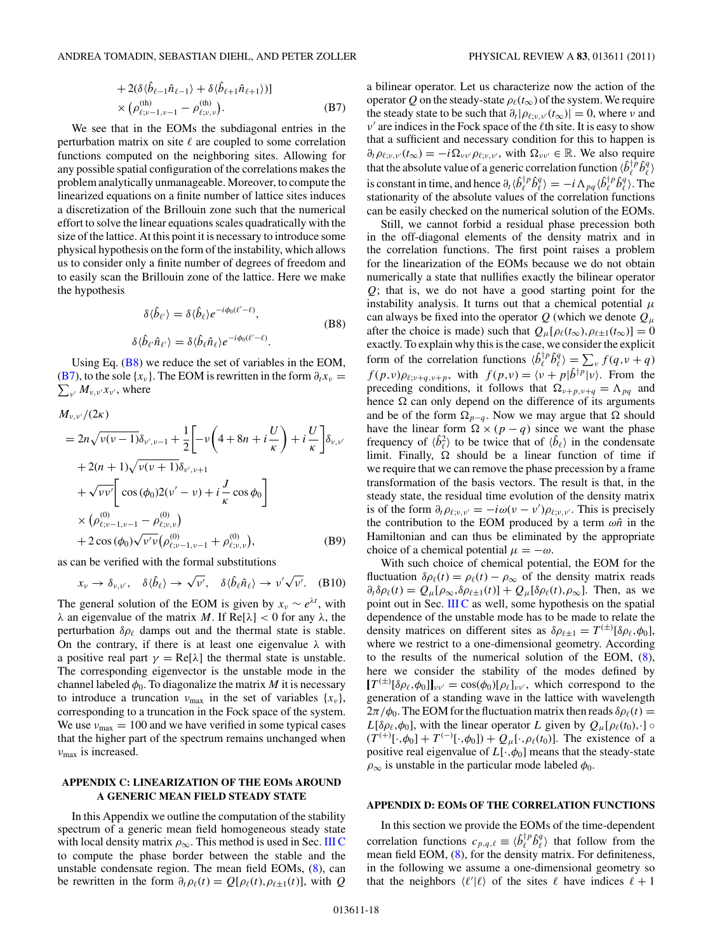+2(
$$
\delta \langle \hat{b}_{\ell-1} \hat{n}_{\ell-1} \rangle
$$
 +  $\delta \langle \hat{b}_{\ell+1} \hat{n}_{\ell+1} \rangle$ )]  
\n× ( $\rho_{\ell;\nu-1,\nu-1}^{(\text{th})} - \rho_{\ell;\nu,\nu}^{(\text{th})}$ ). (B7)

<span id="page-17-0"></span>We see that in the EOMs the subdiagonal entries in the perturbation matrix on site  $\ell$  are coupled to some correlation functions computed on the neighboring sites. Allowing for any possible spatial configuration of the correlations makes the problem analytically unmanageable. Moreover, to compute the linearized equations on a finite number of lattice sites induces a discretization of the Brillouin zone such that the numerical effort to solve the linear equations scales quadratically with the size of the lattice. At this point it is necessary to introduce some physical hypothesis on the form of the instability, which allows us to consider only a finite number of degrees of freedom and to easily scan the Brillouin zone of the lattice. Here we make the hypothesis

$$
\delta \langle \hat{b}_{\ell'} \rangle = \delta \langle \hat{b}_{\ell} \rangle e^{-i\phi_0(\ell'-\ell)},
$$
  
\n
$$
\delta \langle \hat{b}_{\ell'} \hat{n}_{\ell'} \rangle = \delta \langle \hat{b}_{\ell} \hat{n}_{\ell} \rangle e^{-i\phi_0(\ell'-\ell)}.
$$
\n(B8)

Using Eq.  $(B8)$  we reduce the set of variables in the EOM, ([B7\)](#page-16-0), to the sole  $\{x_v\}$ . The EOM is rewritten in the form  $\partial_t x_v =$  $\sum_{v'} M_{v,v'} x_{v'}$ , where

$$
M_{\nu,\nu'}/(2\kappa)
$$
  
=  $2n\sqrt{\nu(\nu-1)}\delta_{\nu',\nu-1} + \frac{1}{2}\left[-\nu\left(4+8n+i\frac{U}{\kappa}\right) + i\frac{U}{\kappa}\right]\delta_{\nu,\nu'}$   
+  $2(n+1)\sqrt{\nu(\nu+1)}\delta_{\nu',\nu+1}$   
+  $\sqrt{\nu\nu'}\left[\cos{(\phi_0)}2(\nu'-\nu) + i\frac{J}{\kappa}\cos{\phi_0}\right]$   
 $\times (\rho_{\ell,\nu-1,\nu-1}^{(0)} - \rho_{\ell,\nu,\nu}^{(0)})$   
+  $2\cos{(\phi_0)}\sqrt{\nu'\nu}(\rho_{\ell,\nu-1,\nu-1}^{(0)} + \rho_{\ell,\nu,\nu}^{(0)}),$  (B9)

as can be verified with the formal substitutions

$$
x_{\nu} \to \delta_{\nu,\nu'}, \quad \delta \langle \hat{b}_{\ell} \rangle \to \sqrt{\nu'}, \quad \delta \langle \hat{b}_{\ell} \hat{n}_{\ell} \rangle \to \nu' \sqrt{\nu'}.
$$
 (B10)

The general solution of the EOM is given by  $x_v \sim e^{\lambda t}$ , with *λ* an eigenvalue of the matrix *M*. If Re[*λ*] *<* 0 for any *λ*, the perturbation  $\delta \rho_{\ell}$  damps out and the thermal state is stable. On the contrary, if there is at least one eigenvalue *λ* with a positive real part  $\gamma = \text{Re}[\lambda]$  the thermal state is unstable. The corresponding eigenvector is the unstable mode in the channel labeled  $\phi_0$ . To diagonalize the matrix *M* it is necessary to introduce a truncation  $v_{\text{max}}$  in the set of variables  $\{x_v\}$ , corresponding to a truncation in the Fock space of the system. We use  $v_{\text{max}} = 100$  and we have verified in some typical cases that the higher part of the spectrum remains unchanged when *ν*max is increased.

## **APPENDIX C: LINEARIZATION OF THE EOMs AROUND A GENERIC MEAN FIELD STEADY STATE**

In this Appendix we outline the computation of the stability spectrum of a generic mean field homogeneous steady state with local density matrix  $\rho_{\infty}$ . This method is used in Sec. [III C](#page-7-0) to compute the phase border between the stable and the unstable condensate region. The mean field EOMs, [\(8\)](#page-3-0), can be rewritten in the form  $\partial_t \rho_\ell(t) = Q[\rho_\ell(t), \rho_{\ell \pm 1}(t)]$ , with *Q* 

a bilinear operator. Let us characterize now the action of the operator Q on the steady-state  $\rho_{\ell}(t_{\infty})$  of the system. We require the steady state to be such that  $\partial_t |\rho_{\ell;\nu,\nu'}(t_\infty)| = 0$ , where  $\nu$  and  $ν'$  are indices in the Fock space of the  $ℓ$ th site. It is easy to show that a sufficient and necessary condition for this to happen is  $\partial_t \rho_{\ell;\nu,\nu'}(t_\infty) = -i \Omega_{\nu\nu'} \rho_{\ell;\nu,\nu'}$ , with  $\Omega_{\nu\nu'} \in \mathbb{R}$ . We also require that the absolute value of a generic correlation function  $\langle \hat{b}_\ell^{\dagger p} \hat{b}_\ell^q \rangle$ is constant in time, and hence  $\partial_t \langle \hat{b}^{\dagger p}_\ell \hat{b}^q_\ell \rangle = -i \Lambda_{pq} \langle \hat{b}^{\dagger p}_\ell \hat{b}^q_\ell \rangle$ . The stationarity of the absolute values of the correlation functions can be easily checked on the numerical solution of the EOMs.

Still, we cannot forbid a residual phase precession both in the off-diagonal elements of the density matrix and in the correlation functions. The first point raises a problem for the linearization of the EOMs because we do not obtain numerically a state that nullifies exactly the bilinear operator *Q*; that is, we do not have a good starting point for the instability analysis. It turns out that a chemical potential  $\mu$ can always be fixed into the operator  $Q$  (which we denote  $Q_\mu$ after the choice is made) such that  $Q_{\mu}[\rho_{\ell}(t_{\infty}), \rho_{\ell \pm 1}(t_{\infty})] = 0$ exactly. To explain why this is the case, we consider the explicit form of the correlation functions  $\langle \hat{b}_{\ell}^{\dagger p} \hat{b}_{\ell}^q \rangle = \sum_{\nu} f(q, \nu + q)$ *f*(*p*,*v*) $\rho_{\ell;\nu+q,\nu+p}$ , with  $f(p,\nu) = \langle \nu + p|\hat{b}^{\dagger p}|\nu\rangle$ . From the preceding conditions, it follows that  $\Omega_{\nu+p,\nu+q} = \Lambda_{pq}$  and hence  $\Omega$  can only depend on the difference of its arguments and be of the form  $\Omega_{p-q}$ . Now we may argue that  $\Omega$  should have the linear form  $\Omega \times (p - q)$  since we want the phase frequency of  $\langle \hat{b}_\ell^2 \rangle$  to be twice that of  $\langle \hat{b}_\ell \rangle$  in the condensate limit. Finally,  $\Omega$  should be a linear function of time if we require that we can remove the phase precession by a frame transformation of the basis vectors. The result is that, in the steady state, the residual time evolution of the density matrix is of the form  $\partial_t \rho_{\ell;\nu,\nu'} = -i\omega(\nu - \nu')\rho_{\ell;\nu,\nu'}$ . This is precisely the contribution to the EOM produced by a term  $\omega \hat{n}$  in the Hamiltonian and can thus be eliminated by the appropriate choice of a chemical potential  $\mu = -\omega$ .

With such choice of chemical potential, the EOM for the fluctuation  $\delta \rho_{\ell}(t) = \rho_{\ell}(t) - \rho_{\infty}$  of the density matrix reads  $\partial_t \delta \rho_\ell(t) = Q_\mu[\rho_\infty, \delta \rho_{\ell \pm 1}(t)] + Q_\mu[\delta \rho_\ell(t), \rho_\infty]$ . Then, as we point out in Sec. [III C](#page-7-0) as well, some hypothesis on the spatial dependence of the unstable mode has to be made to relate the density matrices on different sites as  $\delta \rho_{\ell \pm 1} = T^{(\pm)}[\delta \rho_{\ell}, \phi_0]$ , where we restrict to a one-dimensional geometry. According to the results of the numerical solution of the EOM, [\(8\)](#page-3-0), here we consider the stability of the modes defined by  $[T^{(\pm)}[\delta \rho_\ell, \phi_0]]_{\nu\nu'} = \cos(\phi_0)[\rho_\ell]_{\nu\nu'}$ , which correspond to the generation of a standing wave in the lattice with wavelength  $2\pi/\phi_0$ . The EOM for the fluctuation matrix then reads  $\delta \rho_\ell(t) =$  $L[\delta \rho_\ell, \phi_0]$ , with the linear operator *L* given by  $Q_\mu[\rho_\ell(t_0), \cdot] \circ$  $(T^{(+)}[\cdot,\phi_0] + T^{(-)}[\cdot,\phi_0]) + Q_\mu[\cdot,\rho_\ell(t_0)]$ . The existence of a positive real eigenvalue of  $L[\cdot,\phi_0]$  means that the steady-state  $\rho_{\infty}$  is unstable in the particular mode labeled  $\phi_0$ .

#### **APPENDIX D: EOMs OF THE CORRELATION FUNCTIONS**

In this section we provide the EOMs of the time-dependent correlation functions  $c_{p,q,\ell} \equiv \langle \hat{b}^{\dagger p}_{\ell} \hat{b}^q_{\ell} \rangle$  that follow from the mean field EOM, [\(8\)](#page-3-0), for the density matrix. For definiteness, in the following we assume a one-dimensional geometry so that the neighbors  $\langle \ell' | \ell \rangle$  of the sites  $\ell$  have indices  $\ell + 1$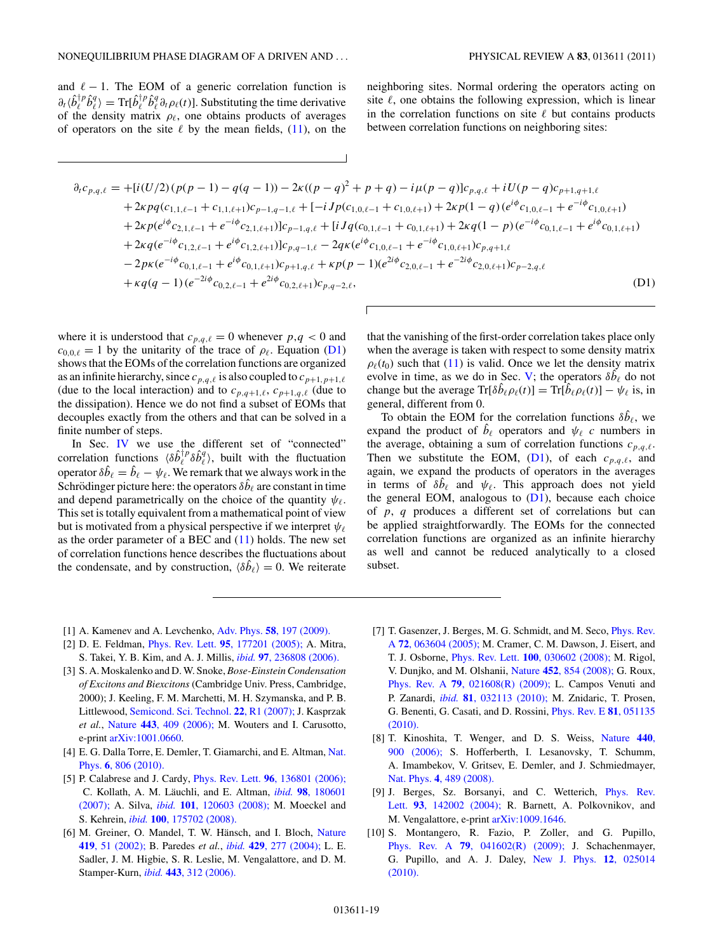<span id="page-18-0"></span>and  $\ell - 1$ . The EOM of a generic correlation function is  $\partial_t \langle \hat{b}_\ell^{\dagger p} \hat{b}_\ell^q \rangle = \text{Tr}[\hat{b}_\ell^{\dagger p} \hat{b}_\ell^q \partial_t \rho_\ell(t)]$ . Substituting the time derivative of the density matrix  $\rho_{\ell}$ , one obtains products of averages of operators on the site  $\ell$  by the mean fields, [\(11\)](#page-3-0), on the

neighboring sites. Normal ordering the operators acting on site  $\ell$ , one obtains the following expression, which is linear in the correlation functions on site  $\ell$  but contains products between correlation functions on neighboring sites:

$$
\partial_{t}c_{p,q,\ell} = +[i(U/2)(p(p-1) - q(q-1)) - 2\kappa((p-q)^{2} + p + q) - i\mu(p-q)]c_{p,q,\ell} + iU(p-q)c_{p+1,q+1,\ell} \n+ 2\kappa pq(c_{1,1,\ell-1} + c_{1,1,\ell+1})c_{p-1,q-1,\ell} + [-iJp(c_{1,0,\ell-1} + c_{1,0,\ell+1}) + 2\kappa p(1-q)(e^{i\phi}c_{1,0,\ell-1} + e^{-i\phi}c_{1,0,\ell+1}) \n+ 2\kappa p(e^{i\phi}c_{2,1,\ell-1} + e^{-i\phi}c_{2,1,\ell+1})]c_{p-1,q,\ell} + [iJq(c_{0,1,\ell-1} + c_{0,1,\ell+1}) + 2\kappa q(1-p)(e^{-i\phi}c_{0,1,\ell-1} + e^{i\phi}c_{0,1,\ell+1}) \n+ 2\kappa q(e^{-i\phi}c_{1,2,\ell-1} + e^{i\phi}c_{1,2,\ell+1})]c_{p,q-1,\ell} - 2q\kappa(e^{i\phi}c_{1,0,\ell-1} + e^{-i\phi}c_{1,0,\ell+1})c_{p,q+1,\ell} \n- 2p\kappa(e^{-i\phi}c_{0,1,\ell-1} + e^{i\phi}c_{0,1,\ell+1})c_{p+1,q,\ell} + \kappa p(p-1)(e^{2i\phi}c_{2,0,\ell-1} + e^{-2i\phi}c_{2,0,\ell+1})c_{p-2,q,\ell} \n+ \kappa q(q-1)(e^{-2i\phi}c_{0,2,\ell-1} + e^{2i\phi}c_{0,2,\ell+1})c_{p,q-2,\ell},
$$
\n(D1)

where it is understood that  $c_{p,q,\ell} = 0$  whenever  $p,q < 0$  and  $c_{0,0,\ell} = 1$  by the unitarity of the trace of  $\rho_{\ell}$ . Equation (D1) shows that the EOMs of the correlation functions are organized as an infinite hierarchy, since  $c_{p,q,\ell}$  is also coupled to  $c_{p+1,p+1,\ell}$ (due to the local interaction) and to  $c_{p,q+1,\ell}$ ,  $c_{p+1,q,\ell}$  (due to the dissipation). Hence we do not find a subset of EOMs that decouples exactly from the others and that can be solved in a finite number of steps.

In Sec. [IV](#page-8-0) we use the different set of "connected" correlation functions  $\langle \delta \hat{b}^{\dagger p}_{\ell} \delta \hat{b}^{q}_{\ell} \rangle$ , built with the fluctuation operator  $\delta \hat{b}_\ell = \hat{b}_\ell - \psi_\ell$ . We remark that we always work in the Schrödinger picture here: the operators  $\delta \hat{b}_\ell$  are constant in time and depend parametrically on the choice of the quantity  $\psi_{\ell}$ . This set is totally equivalent from a mathematical point of view but is motivated from a physical perspective if we interpret *ψ* as the order parameter of a BEC and  $(11)$  holds. The new set of correlation functions hence describes the fluctuations about the condensate, and by construction,  $\langle \delta \hat{b}_\ell \rangle = 0$ . We reiterate

that the vanishing of the first-order correlation takes place only when the average is taken with respect to some density matrix  $\rho_{\ell}(t_0)$  such that [\(11\)](#page-3-0) is valid. Once we let the density matrix evolve in time, as we do in Sec. [V;](#page-9-0) the operators  $\delta \hat{b}_\ell$  do not change but the average  $\text{Tr}[\delta \hat{b}_{\ell} \rho_{\ell}(t)] = \text{Tr}[\hat{b}_{\ell} \rho_{\ell}(t)] - \psi_{\ell}$  is, in general, different from 0.

To obtain the EOM for the correlation functions  $\delta \hat{b}_{\ell}$ , we expand the product of  $\hat{b}_{\ell}$  operators and  $\psi_{\ell}$  *c* numbers in the average, obtaining a sum of correlation functions  $c_{p,q,\ell}$ . Then we substitute the EOM,  $(D1)$ , of each  $c_{p,q,\ell}$ , and again, we expand the products of operators in the averages in terms of  $\delta \hat{b}_\ell$  and  $\psi_\ell$ . This approach does not yield the general EOM, analogous to  $(D1)$ , because each choice of *p*, *q* produces a different set of correlations but can be applied straightforwardly. The EOMs for the connected correlation functions are organized as an infinite hierarchy as well and cannot be reduced analytically to a closed subset.

- [1] A. Kamenev and A. Levchenko, Adv. Phys. **58**[, 197 \(2009\).](http://dx.doi.org/10.1080/00018730902850504)
- [2] D. E. Feldman, Phys. Rev. Lett. **95**[, 177201 \(2005\);](http://dx.doi.org/10.1103/PhysRevLett.95.177201) A. Mitra, S. Takei, Y. B. Kim, and A. J. Millis, *ibid.* **97**[, 236808 \(2006\).](http://dx.doi.org/10.1103/PhysRevLett.97.236808)
- [3] S. A. Moskalenko and D.W. Snoke, *Bose-Einstein Condensation of Excitons and Biexcitons* (Cambridge Univ. Press, Cambridge, 2000); J. Keeling, F. M. Marchetti, M. H. Szymanska, and P. B. Littlewood, [Semicond. Sci. Technol.](http://dx.doi.org/10.1088/0268-1242/22/5/R01) **22**, R1 (2007); J. Kasprzak *et al.*, Nature **443**[, 409 \(2006\);](http://dx.doi.org/10.1038/nature05131) M. Wouters and I. Carusotto, e-print [arXiv:1001.0660.](http://arXiv.org/abs/arXiv:1001.0660)
- [4] E. G. Dalla Torre, E. Demler, T. Giamarchi, and E. Altman, [Nat.](http://dx.doi.org/10.1038/nphys1754) Phys. **6**[, 806 \(2010\).](http://dx.doi.org/10.1038/nphys1754)
- [5] P. Calabrese and J. Cardy, Phys. Rev. Lett. **96**[, 136801 \(2006\);](http://dx.doi.org/10.1103/PhysRevLett.96.136801) C. Kollath, A. M. Läuchli, and E. Altman, *ibid.* 98[, 180601](http://dx.doi.org/10.1103/PhysRevLett.98.180601) [\(2007\);](http://dx.doi.org/10.1103/PhysRevLett.98.180601) A. Silva, *ibid.* **101**[, 120603 \(2008\);](http://dx.doi.org/10.1103/PhysRevLett.101.120603) M. Moeckel and S. Kehrein, *ibid.* **100**[, 175702 \(2008\).](http://dx.doi.org/10.1103/PhysRevLett.100.175702)
- [6] M. Greiner, O. Mandel, T. W. Hänsch, and I. Bloch, [Nature](http://dx.doi.org/10.1038/nature00968) **419**[, 51 \(2002\);](http://dx.doi.org/10.1038/nature00968) B. Paredes *et al.*, *ibid.* **429**[, 277 \(2004\);](http://dx.doi.org/10.1038/nature02530) L. E. Sadler, J. M. Higbie, S. R. Leslie, M. Vengalattore, and D. M. Stamper-Kurn, *ibid.* **443**[, 312 \(2006\).](http://dx.doi.org/10.1038/nature05094)
- [7] T. Gasenzer, J. Berges, M. G. Schmidt, and M. Seco, *[Phys. Rev.](http://dx.doi.org/10.1103/PhysRevA.72.063604)* A **72**[, 063604 \(2005\);](http://dx.doi.org/10.1103/PhysRevA.72.063604) M. Cramer, C. M. Dawson, J. Eisert, and T. J. Osborne, Phys. Rev. Lett. **100**[, 030602 \(2008\);](http://dx.doi.org/10.1103/PhysRevLett.100.030602) M. Rigol, V. Dunjko, and M. Olshanii, Nature **452**[, 854 \(2008\);](http://dx.doi.org/10.1038/nature06838) G. Roux, Phys. Rev. A **79**[, 021608\(R\) \(2009\);](http://dx.doi.org/10.1103/PhysRevA.79.021608) L. Campos Venuti and P. Zanardi, *ibid.* **81**[, 032113 \(2010\);](http://dx.doi.org/10.1103/PhysRevA.81.032113) M. Znidaric, T. Prosen, G. Benenti, G. Casati, and D. Rossini, [Phys. Rev. E](http://dx.doi.org/10.1103/PhysRevE.81.051135) **81**, 051135 [\(2010\).](http://dx.doi.org/10.1103/PhysRevE.81.051135)
- [8] T. Kinoshita, T. Wenger, and D. S. Weiss, [Nature](http://dx.doi.org/10.1038/nature04693) **440**, [900 \(2006\);](http://dx.doi.org/10.1038/nature04693) S. Hofferberth, I. Lesanovsky, T. Schumm, A. Imambekov, V. Gritsev, E. Demler, and J. Schmiedmayer, Nat. Phys. **4**[, 489 \(2008\).](http://dx.doi.org/10.1038/nphys941)
- [9] J. Berges, Sz. Borsanyi, and C. Wetterich, [Phys. Rev.](http://dx.doi.org/10.1103/PhysRevLett.93.142002) Lett. **93**[, 142002 \(2004\);](http://dx.doi.org/10.1103/PhysRevLett.93.142002) R. Barnett, A. Polkovnikov, and M. Vengalattore, e-print [arXiv:1009.1646.](http://arXiv.org/abs/arXiv:1009.1646)
- [10] S. Montangero, R. Fazio, P. Zoller, and G. Pupillo, Phys. Rev. A **79**[, 041602\(R\) \(2009\);](http://dx.doi.org/10.1103/PhysRevA.79.041602) J. Schachenmayer, G. Pupillo, and A. J. Daley, [New J. Phys.](http://dx.doi.org/10.1088/1367-2630/12/2/025014) **12**, 025014 [\(2010\).](http://dx.doi.org/10.1088/1367-2630/12/2/025014)